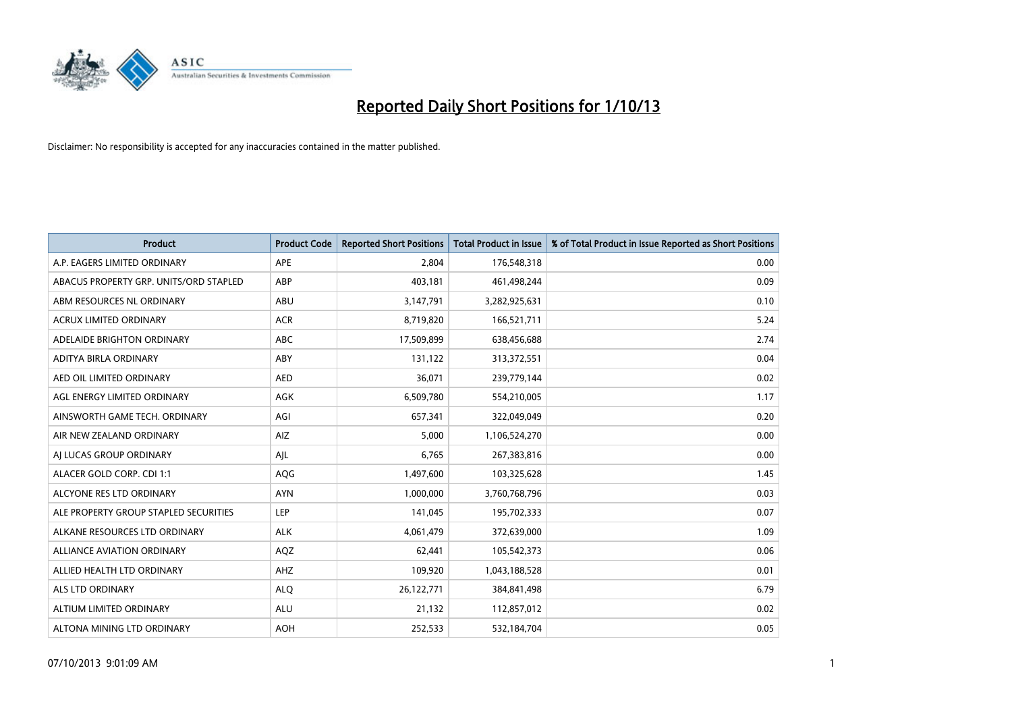

| <b>Product</b>                         | <b>Product Code</b> | <b>Reported Short Positions</b> | <b>Total Product in Issue</b> | % of Total Product in Issue Reported as Short Positions |
|----------------------------------------|---------------------|---------------------------------|-------------------------------|---------------------------------------------------------|
| A.P. EAGERS LIMITED ORDINARY           | APE                 | 2,804                           | 176,548,318                   | 0.00                                                    |
| ABACUS PROPERTY GRP. UNITS/ORD STAPLED | ABP                 | 403,181                         | 461,498,244                   | 0.09                                                    |
| ABM RESOURCES NL ORDINARY              | ABU                 | 3,147,791                       | 3,282,925,631                 | 0.10                                                    |
| ACRUX LIMITED ORDINARY                 | <b>ACR</b>          | 8,719,820                       | 166,521,711                   | 5.24                                                    |
| ADELAIDE BRIGHTON ORDINARY             | <b>ABC</b>          | 17,509,899                      | 638,456,688                   | 2.74                                                    |
| ADITYA BIRLA ORDINARY                  | ABY                 | 131,122                         | 313,372,551                   | 0.04                                                    |
| AED OIL LIMITED ORDINARY               | <b>AED</b>          | 36,071                          | 239,779,144                   | 0.02                                                    |
| AGL ENERGY LIMITED ORDINARY            | AGK                 | 6,509,780                       | 554,210,005                   | 1.17                                                    |
| AINSWORTH GAME TECH. ORDINARY          | AGI                 | 657,341                         | 322,049,049                   | 0.20                                                    |
| AIR NEW ZEALAND ORDINARY               | <b>AIZ</b>          | 5,000                           | 1,106,524,270                 | 0.00                                                    |
| AI LUCAS GROUP ORDINARY                | AJL                 | 6,765                           | 267,383,816                   | 0.00                                                    |
| ALACER GOLD CORP. CDI 1:1              | AQG                 | 1,497,600                       | 103,325,628                   | 1.45                                                    |
| ALCYONE RES LTD ORDINARY               | <b>AYN</b>          | 1,000,000                       | 3,760,768,796                 | 0.03                                                    |
| ALE PROPERTY GROUP STAPLED SECURITIES  | LEP                 | 141,045                         | 195,702,333                   | 0.07                                                    |
| ALKANE RESOURCES LTD ORDINARY          | <b>ALK</b>          | 4,061,479                       | 372,639,000                   | 1.09                                                    |
| ALLIANCE AVIATION ORDINARY             | AQZ                 | 62,441                          | 105,542,373                   | 0.06                                                    |
| ALLIED HEALTH LTD ORDINARY             | AHZ                 | 109,920                         | 1,043,188,528                 | 0.01                                                    |
| <b>ALS LTD ORDINARY</b>                | <b>ALQ</b>          | 26,122,771                      | 384, 841, 498                 | 6.79                                                    |
| ALTIUM LIMITED ORDINARY                | <b>ALU</b>          | 21,132                          | 112,857,012                   | 0.02                                                    |
| ALTONA MINING LTD ORDINARY             | <b>AOH</b>          | 252,533                         | 532,184,704                   | 0.05                                                    |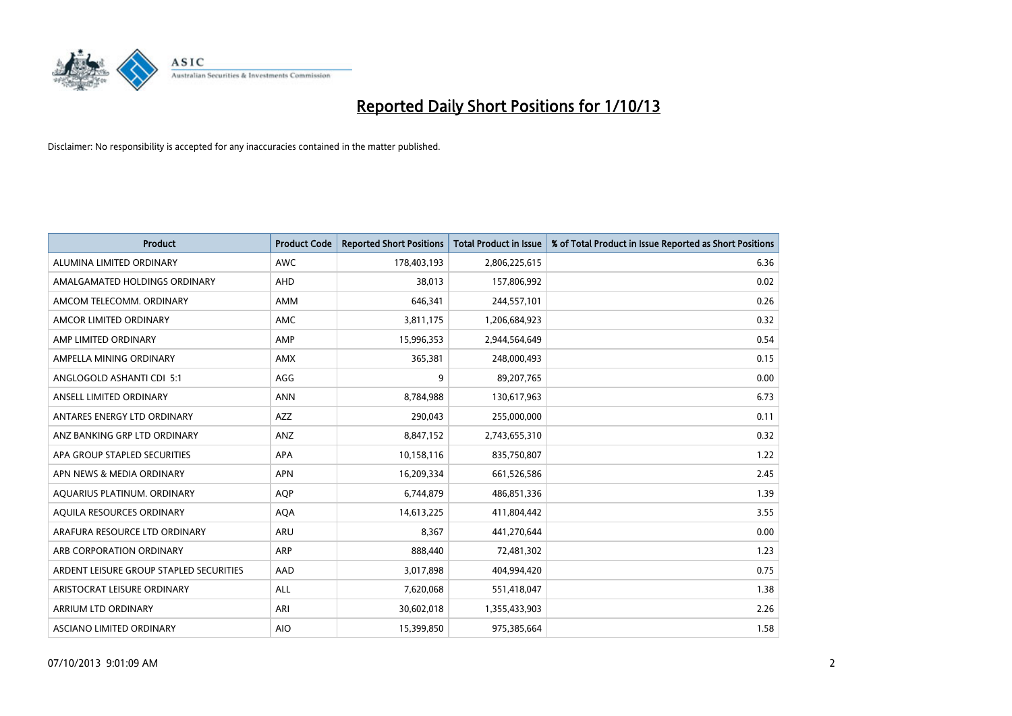

| <b>Product</b>                          | <b>Product Code</b> | <b>Reported Short Positions</b> | <b>Total Product in Issue</b> | % of Total Product in Issue Reported as Short Positions |
|-----------------------------------------|---------------------|---------------------------------|-------------------------------|---------------------------------------------------------|
| ALUMINA LIMITED ORDINARY                | <b>AWC</b>          | 178,403,193                     | 2,806,225,615                 | 6.36                                                    |
| AMALGAMATED HOLDINGS ORDINARY           | AHD                 | 38,013                          | 157,806,992                   | 0.02                                                    |
| AMCOM TELECOMM, ORDINARY                | AMM                 | 646,341                         | 244,557,101                   | 0.26                                                    |
| AMCOR LIMITED ORDINARY                  | AMC                 | 3,811,175                       | 1,206,684,923                 | 0.32                                                    |
| AMP LIMITED ORDINARY                    | AMP                 | 15,996,353                      | 2,944,564,649                 | 0.54                                                    |
| AMPELLA MINING ORDINARY                 | AMX                 | 365,381                         | 248,000,493                   | 0.15                                                    |
| ANGLOGOLD ASHANTI CDI 5:1               | AGG                 | 9                               | 89,207,765                    | 0.00                                                    |
| ANSELL LIMITED ORDINARY                 | <b>ANN</b>          | 8,784,988                       | 130,617,963                   | 6.73                                                    |
| ANTARES ENERGY LTD ORDINARY             | <b>AZZ</b>          | 290,043                         | 255,000,000                   | 0.11                                                    |
| ANZ BANKING GRP LTD ORDINARY            | ANZ                 | 8,847,152                       | 2,743,655,310                 | 0.32                                                    |
| APA GROUP STAPLED SECURITIES            | APA                 | 10,158,116                      | 835,750,807                   | 1.22                                                    |
| APN NEWS & MEDIA ORDINARY               | <b>APN</b>          | 16,209,334                      | 661,526,586                   | 2.45                                                    |
| AQUARIUS PLATINUM. ORDINARY             | <b>AOP</b>          | 6,744,879                       | 486,851,336                   | 1.39                                                    |
| AOUILA RESOURCES ORDINARY               | <b>AQA</b>          | 14,613,225                      | 411,804,442                   | 3.55                                                    |
| ARAFURA RESOURCE LTD ORDINARY           | ARU                 | 8,367                           | 441,270,644                   | 0.00                                                    |
| ARB CORPORATION ORDINARY                | <b>ARP</b>          | 888,440                         | 72,481,302                    | 1.23                                                    |
| ARDENT LEISURE GROUP STAPLED SECURITIES | AAD                 | 3,017,898                       | 404,994,420                   | 0.75                                                    |
| ARISTOCRAT LEISURE ORDINARY             | ALL                 | 7,620,068                       | 551,418,047                   | 1.38                                                    |
| ARRIUM LTD ORDINARY                     | ARI                 | 30,602,018                      | 1,355,433,903                 | 2.26                                                    |
| ASCIANO LIMITED ORDINARY                | <b>AIO</b>          | 15,399,850                      | 975,385,664                   | 1.58                                                    |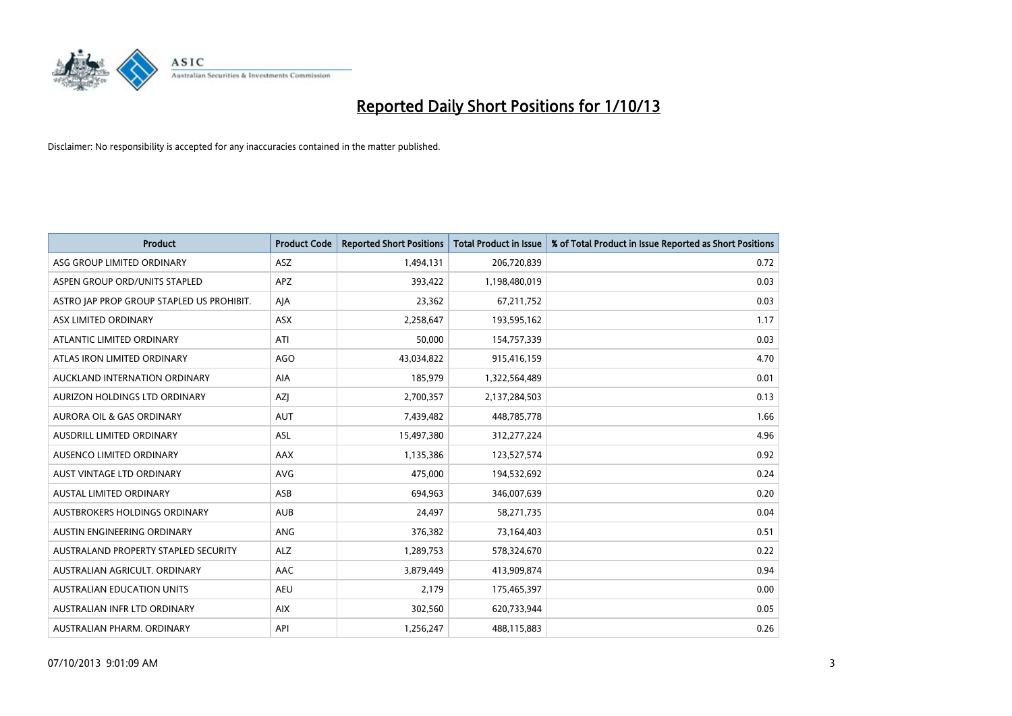

| <b>Product</b>                            | <b>Product Code</b> | <b>Reported Short Positions</b> | <b>Total Product in Issue</b> | % of Total Product in Issue Reported as Short Positions |
|-------------------------------------------|---------------------|---------------------------------|-------------------------------|---------------------------------------------------------|
| ASG GROUP LIMITED ORDINARY                | ASZ                 | 1,494,131                       | 206,720,839                   | 0.72                                                    |
| ASPEN GROUP ORD/UNITS STAPLED             | APZ                 | 393,422                         | 1,198,480,019                 | 0.03                                                    |
| ASTRO JAP PROP GROUP STAPLED US PROHIBIT. | AJA                 | 23,362                          | 67,211,752                    | 0.03                                                    |
| ASX LIMITED ORDINARY                      | ASX                 | 2,258,647                       | 193,595,162                   | 1.17                                                    |
| ATLANTIC LIMITED ORDINARY                 | ATI                 | 50,000                          | 154,757,339                   | 0.03                                                    |
| ATLAS IRON LIMITED ORDINARY               | AGO                 | 43,034,822                      | 915,416,159                   | 4.70                                                    |
| AUCKLAND INTERNATION ORDINARY             | AIA                 | 185,979                         | 1,322,564,489                 | 0.01                                                    |
| AURIZON HOLDINGS LTD ORDINARY             | AZJ                 | 2,700,357                       | 2,137,284,503                 | 0.13                                                    |
| <b>AURORA OIL &amp; GAS ORDINARY</b>      | <b>AUT</b>          | 7,439,482                       | 448,785,778                   | 1.66                                                    |
| AUSDRILL LIMITED ORDINARY                 | <b>ASL</b>          | 15,497,380                      | 312,277,224                   | 4.96                                                    |
| AUSENCO LIMITED ORDINARY                  | AAX                 | 1,135,386                       | 123,527,574                   | 0.92                                                    |
| AUST VINTAGE LTD ORDINARY                 | <b>AVG</b>          | 475,000                         | 194,532,692                   | 0.24                                                    |
| AUSTAL LIMITED ORDINARY                   | ASB                 | 694,963                         | 346,007,639                   | 0.20                                                    |
| AUSTBROKERS HOLDINGS ORDINARY             | <b>AUB</b>          | 24,497                          | 58,271,735                    | 0.04                                                    |
| AUSTIN ENGINEERING ORDINARY               | ANG                 | 376,382                         | 73,164,403                    | 0.51                                                    |
| AUSTRALAND PROPERTY STAPLED SECURITY      | <b>ALZ</b>          | 1,289,753                       | 578,324,670                   | 0.22                                                    |
| AUSTRALIAN AGRICULT. ORDINARY             | AAC                 | 3,879,449                       | 413,909,874                   | 0.94                                                    |
| AUSTRALIAN EDUCATION UNITS                | <b>AEU</b>          | 2,179                           | 175,465,397                   | 0.00                                                    |
| AUSTRALIAN INFR LTD ORDINARY              | <b>AIX</b>          | 302,560                         | 620,733,944                   | 0.05                                                    |
| AUSTRALIAN PHARM. ORDINARY                | API                 | 1,256,247                       | 488,115,883                   | 0.26                                                    |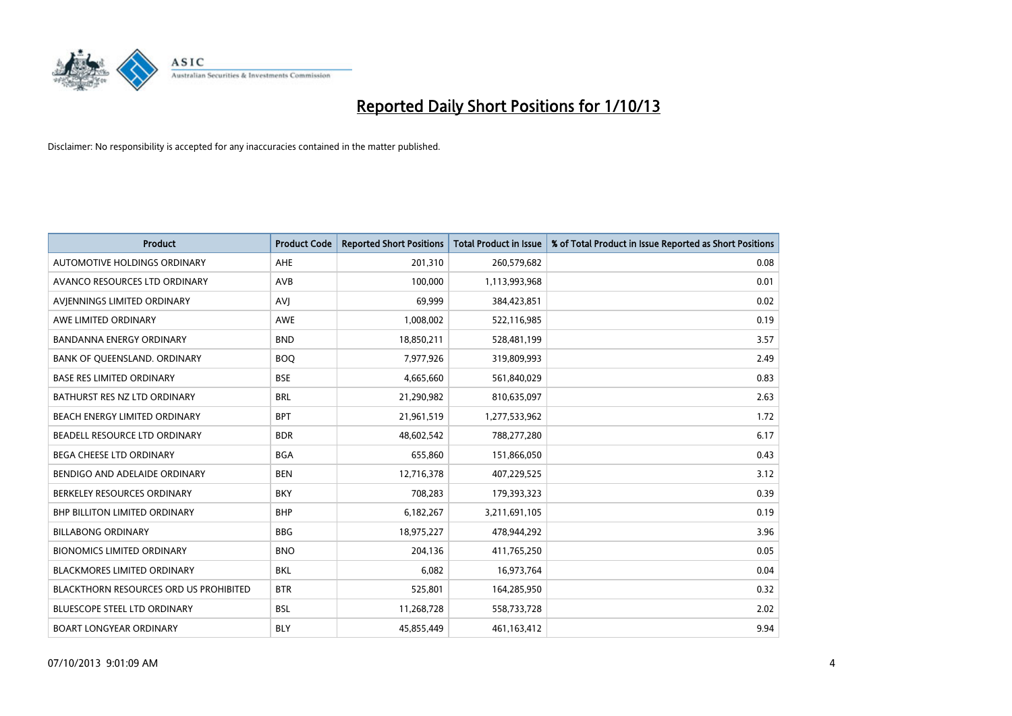

| <b>Product</b>                         | <b>Product Code</b> | <b>Reported Short Positions</b> | <b>Total Product in Issue</b> | % of Total Product in Issue Reported as Short Positions |
|----------------------------------------|---------------------|---------------------------------|-------------------------------|---------------------------------------------------------|
| AUTOMOTIVE HOLDINGS ORDINARY           | AHE                 | 201,310                         | 260,579,682                   | 0.08                                                    |
| AVANCO RESOURCES LTD ORDINARY          | AVB                 | 100,000                         | 1,113,993,968                 | 0.01                                                    |
| AVIENNINGS LIMITED ORDINARY            | <b>AVJ</b>          | 69,999                          | 384,423,851                   | 0.02                                                    |
| AWE LIMITED ORDINARY                   | <b>AWE</b>          | 1,008,002                       | 522,116,985                   | 0.19                                                    |
| <b>BANDANNA ENERGY ORDINARY</b>        | <b>BND</b>          | 18,850,211                      | 528,481,199                   | 3.57                                                    |
| BANK OF QUEENSLAND. ORDINARY           | <b>BOO</b>          | 7,977,926                       | 319,809,993                   | 2.49                                                    |
| <b>BASE RES LIMITED ORDINARY</b>       | <b>BSE</b>          | 4,665,660                       | 561,840,029                   | 0.83                                                    |
| BATHURST RES NZ LTD ORDINARY           | <b>BRL</b>          | 21,290,982                      | 810,635,097                   | 2.63                                                    |
| BEACH ENERGY LIMITED ORDINARY          | <b>BPT</b>          | 21,961,519                      | 1,277,533,962                 | 1.72                                                    |
| BEADELL RESOURCE LTD ORDINARY          | <b>BDR</b>          | 48,602,542                      | 788,277,280                   | 6.17                                                    |
| BEGA CHEESE LTD ORDINARY               | <b>BGA</b>          | 655,860                         | 151,866,050                   | 0.43                                                    |
| BENDIGO AND ADELAIDE ORDINARY          | <b>BEN</b>          | 12,716,378                      | 407,229,525                   | 3.12                                                    |
| BERKELEY RESOURCES ORDINARY            | <b>BKY</b>          | 708,283                         | 179,393,323                   | 0.39                                                    |
| <b>BHP BILLITON LIMITED ORDINARY</b>   | <b>BHP</b>          | 6,182,267                       | 3,211,691,105                 | 0.19                                                    |
| <b>BILLABONG ORDINARY</b>              | <b>BBG</b>          | 18,975,227                      | 478,944,292                   | 3.96                                                    |
| <b>BIONOMICS LIMITED ORDINARY</b>      | <b>BNO</b>          | 204,136                         | 411,765,250                   | 0.05                                                    |
| <b>BLACKMORES LIMITED ORDINARY</b>     | <b>BKL</b>          | 6,082                           | 16,973,764                    | 0.04                                                    |
| BLACKTHORN RESOURCES ORD US PROHIBITED | <b>BTR</b>          | 525,801                         | 164,285,950                   | 0.32                                                    |
| <b>BLUESCOPE STEEL LTD ORDINARY</b>    | <b>BSL</b>          | 11,268,728                      | 558,733,728                   | 2.02                                                    |
| <b>BOART LONGYEAR ORDINARY</b>         | <b>BLY</b>          | 45,855,449                      | 461,163,412                   | 9.94                                                    |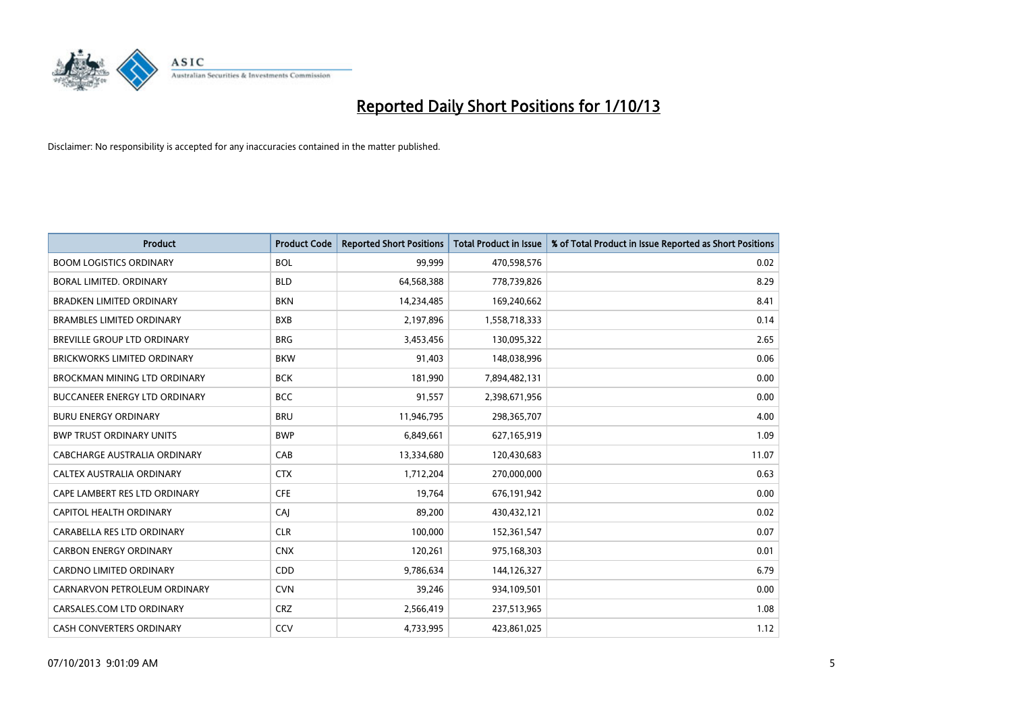

| <b>Product</b>                       | <b>Product Code</b> | <b>Reported Short Positions</b> | <b>Total Product in Issue</b> | % of Total Product in Issue Reported as Short Positions |
|--------------------------------------|---------------------|---------------------------------|-------------------------------|---------------------------------------------------------|
| <b>BOOM LOGISTICS ORDINARY</b>       | <b>BOL</b>          | 99,999                          | 470,598,576                   | 0.02                                                    |
| BORAL LIMITED, ORDINARY              | <b>BLD</b>          | 64,568,388                      | 778,739,826                   | 8.29                                                    |
| <b>BRADKEN LIMITED ORDINARY</b>      | <b>BKN</b>          | 14,234,485                      | 169,240,662                   | 8.41                                                    |
| <b>BRAMBLES LIMITED ORDINARY</b>     | <b>BXB</b>          | 2,197,896                       | 1,558,718,333                 | 0.14                                                    |
| <b>BREVILLE GROUP LTD ORDINARY</b>   | <b>BRG</b>          | 3,453,456                       | 130,095,322                   | 2.65                                                    |
| <b>BRICKWORKS LIMITED ORDINARY</b>   | <b>BKW</b>          | 91,403                          | 148,038,996                   | 0.06                                                    |
| <b>BROCKMAN MINING LTD ORDINARY</b>  | <b>BCK</b>          | 181,990                         | 7,894,482,131                 | 0.00                                                    |
| <b>BUCCANEER ENERGY LTD ORDINARY</b> | <b>BCC</b>          | 91,557                          | 2,398,671,956                 | 0.00                                                    |
| <b>BURU ENERGY ORDINARY</b>          | <b>BRU</b>          | 11,946,795                      | 298,365,707                   | 4.00                                                    |
| <b>BWP TRUST ORDINARY UNITS</b>      | <b>BWP</b>          | 6,849,661                       | 627,165,919                   | 1.09                                                    |
| CABCHARGE AUSTRALIA ORDINARY         | CAB                 | 13,334,680                      | 120,430,683                   | 11.07                                                   |
| <b>CALTEX AUSTRALIA ORDINARY</b>     | <b>CTX</b>          | 1,712,204                       | 270,000,000                   | 0.63                                                    |
| CAPE LAMBERT RES LTD ORDINARY        | <b>CFE</b>          | 19,764                          | 676,191,942                   | 0.00                                                    |
| CAPITOL HEALTH ORDINARY              | CAJ                 | 89,200                          | 430,432,121                   | 0.02                                                    |
| CARABELLA RES LTD ORDINARY           | <b>CLR</b>          | 100,000                         | 152,361,547                   | 0.07                                                    |
| <b>CARBON ENERGY ORDINARY</b>        | <b>CNX</b>          | 120,261                         | 975,168,303                   | 0.01                                                    |
| CARDNO LIMITED ORDINARY              | CDD                 | 9,786,634                       | 144,126,327                   | 6.79                                                    |
| CARNARVON PETROLEUM ORDINARY         | <b>CVN</b>          | 39,246                          | 934,109,501                   | 0.00                                                    |
| CARSALES.COM LTD ORDINARY            | <b>CRZ</b>          | 2,566,419                       | 237,513,965                   | 1.08                                                    |
| CASH CONVERTERS ORDINARY             | CCV                 | 4,733,995                       | 423,861,025                   | 1.12                                                    |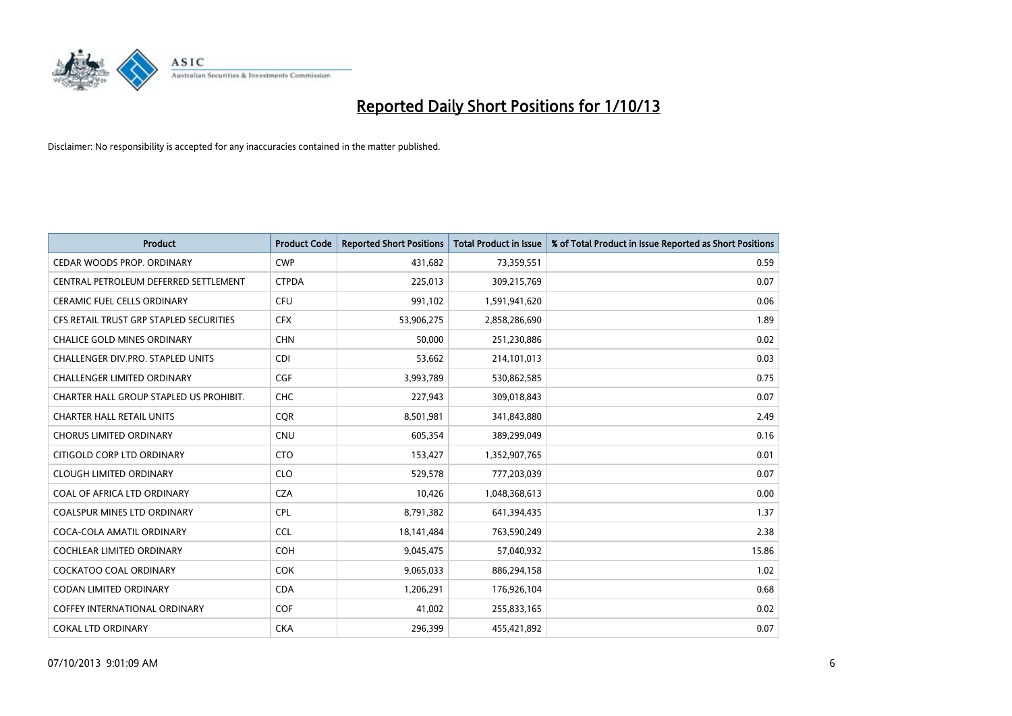

| <b>Product</b>                          | <b>Product Code</b> | <b>Reported Short Positions</b> | <b>Total Product in Issue</b> | % of Total Product in Issue Reported as Short Positions |
|-----------------------------------------|---------------------|---------------------------------|-------------------------------|---------------------------------------------------------|
| CEDAR WOODS PROP. ORDINARY              | <b>CWP</b>          | 431,682                         | 73,359,551                    | 0.59                                                    |
| CENTRAL PETROLEUM DEFERRED SETTLEMENT   | <b>CTPDA</b>        | 225,013                         | 309,215,769                   | 0.07                                                    |
| <b>CERAMIC FUEL CELLS ORDINARY</b>      | <b>CFU</b>          | 991,102                         | 1,591,941,620                 | 0.06                                                    |
| CFS RETAIL TRUST GRP STAPLED SECURITIES | <b>CFX</b>          | 53,906,275                      | 2,858,286,690                 | 1.89                                                    |
| <b>CHALICE GOLD MINES ORDINARY</b>      | <b>CHN</b>          | 50,000                          | 251,230,886                   | 0.02                                                    |
| CHALLENGER DIV.PRO. STAPLED UNITS       | <b>CDI</b>          | 53,662                          | 214,101,013                   | 0.03                                                    |
| <b>CHALLENGER LIMITED ORDINARY</b>      | <b>CGF</b>          | 3,993,789                       | 530,862,585                   | 0.75                                                    |
| CHARTER HALL GROUP STAPLED US PROHIBIT. | <b>CHC</b>          | 227,943                         | 309,018,843                   | 0.07                                                    |
| <b>CHARTER HALL RETAIL UNITS</b>        | <b>COR</b>          | 8,501,981                       | 341,843,880                   | 2.49                                                    |
| <b>CHORUS LIMITED ORDINARY</b>          | <b>CNU</b>          | 605,354                         | 389,299,049                   | 0.16                                                    |
| CITIGOLD CORP LTD ORDINARY              | <b>CTO</b>          | 153,427                         | 1,352,907,765                 | 0.01                                                    |
| <b>CLOUGH LIMITED ORDINARY</b>          | <b>CLO</b>          | 529,578                         | 777,203,039                   | 0.07                                                    |
| COAL OF AFRICA LTD ORDINARY             | <b>CZA</b>          | 10,426                          | 1,048,368,613                 | 0.00                                                    |
| <b>COALSPUR MINES LTD ORDINARY</b>      | <b>CPL</b>          | 8,791,382                       | 641,394,435                   | 1.37                                                    |
| COCA-COLA AMATIL ORDINARY               | <b>CCL</b>          | 18,141,484                      | 763,590,249                   | 2.38                                                    |
| COCHLEAR LIMITED ORDINARY               | <b>COH</b>          | 9,045,475                       | 57,040,932                    | 15.86                                                   |
| COCKATOO COAL ORDINARY                  | COK                 | 9,065,033                       | 886,294,158                   | 1.02                                                    |
| <b>CODAN LIMITED ORDINARY</b>           | <b>CDA</b>          | 1,206,291                       | 176,926,104                   | 0.68                                                    |
| <b>COFFEY INTERNATIONAL ORDINARY</b>    | <b>COF</b>          | 41,002                          | 255,833,165                   | 0.02                                                    |
| <b>COKAL LTD ORDINARY</b>               | <b>CKA</b>          | 296,399                         | 455,421,892                   | 0.07                                                    |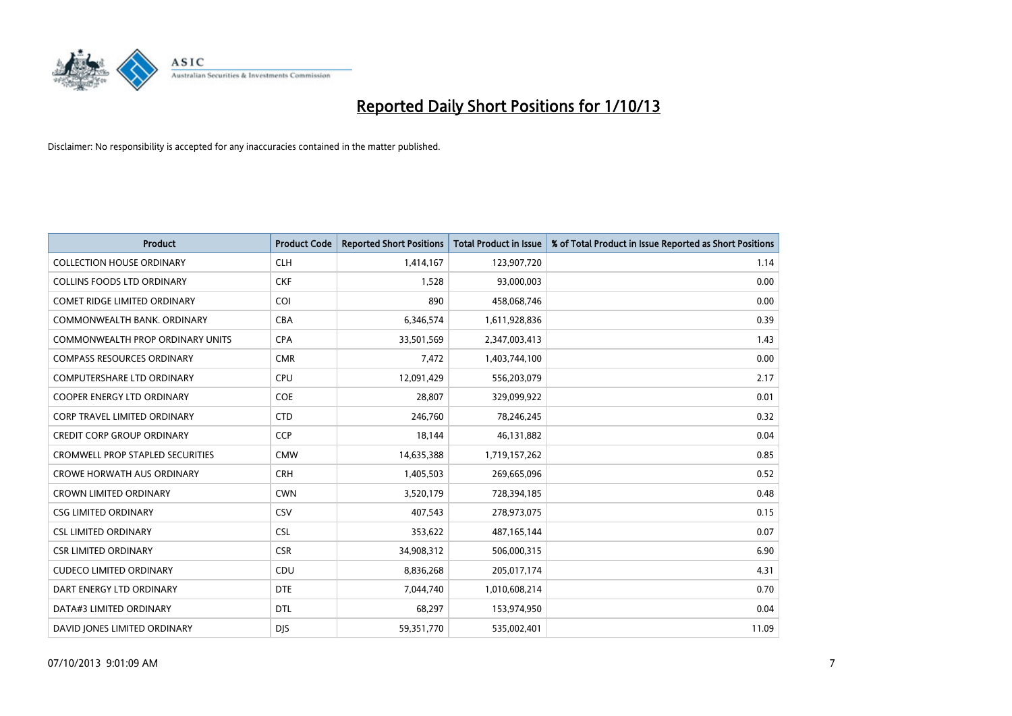

| <b>Product</b>                          | <b>Product Code</b> | <b>Reported Short Positions</b> | <b>Total Product in Issue</b> | % of Total Product in Issue Reported as Short Positions |
|-----------------------------------------|---------------------|---------------------------------|-------------------------------|---------------------------------------------------------|
| <b>COLLECTION HOUSE ORDINARY</b>        | <b>CLH</b>          | 1,414,167                       | 123,907,720                   | 1.14                                                    |
| <b>COLLINS FOODS LTD ORDINARY</b>       | <b>CKF</b>          | 1,528                           | 93,000,003                    | 0.00                                                    |
| <b>COMET RIDGE LIMITED ORDINARY</b>     | <b>COI</b>          | 890                             | 458,068,746                   | 0.00                                                    |
| COMMONWEALTH BANK, ORDINARY             | <b>CBA</b>          | 6,346,574                       | 1,611,928,836                 | 0.39                                                    |
| COMMONWEALTH PROP ORDINARY UNITS        | <b>CPA</b>          | 33,501,569                      | 2,347,003,413                 | 1.43                                                    |
| <b>COMPASS RESOURCES ORDINARY</b>       | <b>CMR</b>          | 7,472                           | 1,403,744,100                 | 0.00                                                    |
| <b>COMPUTERSHARE LTD ORDINARY</b>       | <b>CPU</b>          | 12,091,429                      | 556,203,079                   | 2.17                                                    |
| COOPER ENERGY LTD ORDINARY              | <b>COE</b>          | 28,807                          | 329,099,922                   | 0.01                                                    |
| <b>CORP TRAVEL LIMITED ORDINARY</b>     | <b>CTD</b>          | 246,760                         | 78,246,245                    | 0.32                                                    |
| <b>CREDIT CORP GROUP ORDINARY</b>       | <b>CCP</b>          | 18,144                          | 46,131,882                    | 0.04                                                    |
| <b>CROMWELL PROP STAPLED SECURITIES</b> | <b>CMW</b>          | 14,635,388                      | 1,719,157,262                 | 0.85                                                    |
| <b>CROWE HORWATH AUS ORDINARY</b>       | <b>CRH</b>          | 1,405,503                       | 269,665,096                   | 0.52                                                    |
| <b>CROWN LIMITED ORDINARY</b>           | <b>CWN</b>          | 3,520,179                       | 728,394,185                   | 0.48                                                    |
| <b>CSG LIMITED ORDINARY</b>             | CSV                 | 407,543                         | 278,973,075                   | 0.15                                                    |
| <b>CSL LIMITED ORDINARY</b>             | <b>CSL</b>          | 353,622                         | 487, 165, 144                 | 0.07                                                    |
| <b>CSR LIMITED ORDINARY</b>             | <b>CSR</b>          | 34,908,312                      | 506,000,315                   | 6.90                                                    |
| <b>CUDECO LIMITED ORDINARY</b>          | CDU                 | 8,836,268                       | 205,017,174                   | 4.31                                                    |
| DART ENERGY LTD ORDINARY                | <b>DTE</b>          | 7,044,740                       | 1,010,608,214                 | 0.70                                                    |
| DATA#3 LIMITED ORDINARY                 | <b>DTL</b>          | 68,297                          | 153,974,950                   | 0.04                                                    |
| DAVID JONES LIMITED ORDINARY            | <b>DJS</b>          | 59,351,770                      | 535,002,401                   | 11.09                                                   |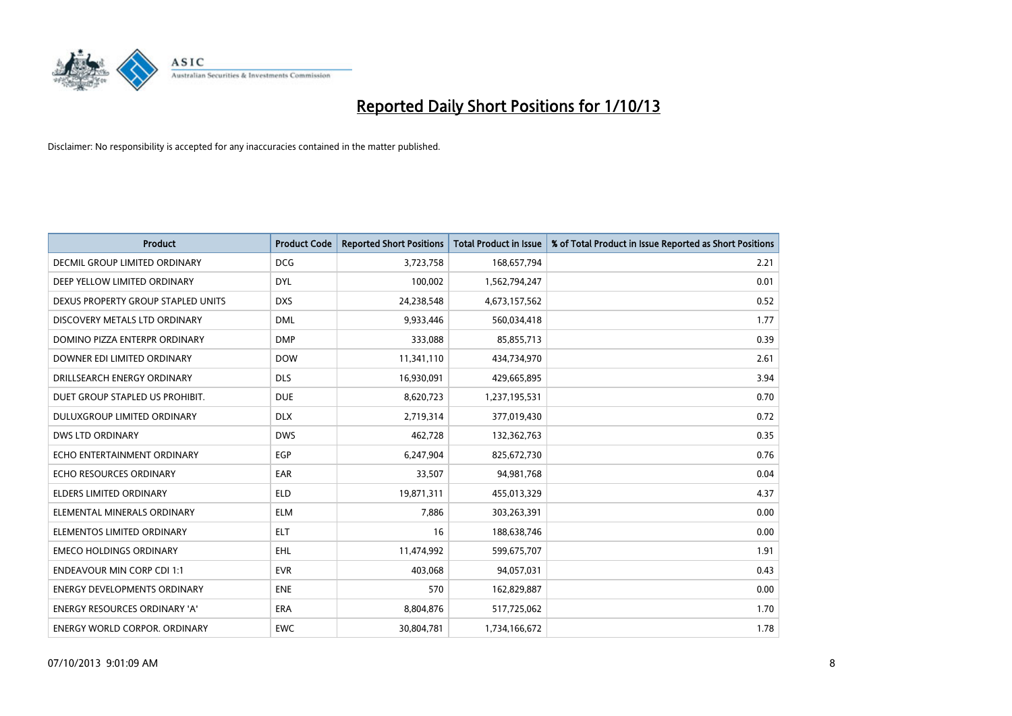

| <b>Product</b>                       | <b>Product Code</b> | <b>Reported Short Positions</b> | <b>Total Product in Issue</b> | % of Total Product in Issue Reported as Short Positions |
|--------------------------------------|---------------------|---------------------------------|-------------------------------|---------------------------------------------------------|
| <b>DECMIL GROUP LIMITED ORDINARY</b> | <b>DCG</b>          | 3,723,758                       | 168,657,794                   | 2.21                                                    |
| DEEP YELLOW LIMITED ORDINARY         | <b>DYL</b>          | 100,002                         | 1,562,794,247                 | 0.01                                                    |
| DEXUS PROPERTY GROUP STAPLED UNITS   | <b>DXS</b>          | 24,238,548                      | 4,673,157,562                 | 0.52                                                    |
| DISCOVERY METALS LTD ORDINARY        | <b>DML</b>          | 9,933,446                       | 560,034,418                   | 1.77                                                    |
| DOMINO PIZZA ENTERPR ORDINARY        | <b>DMP</b>          | 333,088                         | 85,855,713                    | 0.39                                                    |
| DOWNER EDI LIMITED ORDINARY          | <b>DOW</b>          | 11,341,110                      | 434,734,970                   | 2.61                                                    |
| DRILLSEARCH ENERGY ORDINARY          | <b>DLS</b>          | 16,930,091                      | 429,665,895                   | 3.94                                                    |
| DUET GROUP STAPLED US PROHIBIT.      | <b>DUE</b>          | 8,620,723                       | 1,237,195,531                 | 0.70                                                    |
| DULUXGROUP LIMITED ORDINARY          | <b>DLX</b>          | 2,719,314                       | 377,019,430                   | 0.72                                                    |
| DWS LTD ORDINARY                     | <b>DWS</b>          | 462,728                         | 132,362,763                   | 0.35                                                    |
| ECHO ENTERTAINMENT ORDINARY          | <b>EGP</b>          | 6,247,904                       | 825,672,730                   | 0.76                                                    |
| ECHO RESOURCES ORDINARY              | EAR                 | 33,507                          | 94,981,768                    | 0.04                                                    |
| <b>ELDERS LIMITED ORDINARY</b>       | <b>ELD</b>          | 19,871,311                      | 455,013,329                   | 4.37                                                    |
| ELEMENTAL MINERALS ORDINARY          | ELM                 | 7,886                           | 303,263,391                   | 0.00                                                    |
| ELEMENTOS LIMITED ORDINARY           | <b>ELT</b>          | 16                              | 188,638,746                   | 0.00                                                    |
| <b>EMECO HOLDINGS ORDINARY</b>       | <b>EHL</b>          | 11,474,992                      | 599,675,707                   | 1.91                                                    |
| <b>ENDEAVOUR MIN CORP CDI 1:1</b>    | <b>EVR</b>          | 403,068                         | 94,057,031                    | 0.43                                                    |
| <b>ENERGY DEVELOPMENTS ORDINARY</b>  | <b>ENE</b>          | 570                             | 162,829,887                   | 0.00                                                    |
| <b>ENERGY RESOURCES ORDINARY 'A'</b> | <b>ERA</b>          | 8,804,876                       | 517,725,062                   | 1.70                                                    |
| <b>ENERGY WORLD CORPOR, ORDINARY</b> | <b>EWC</b>          | 30,804,781                      | 1,734,166,672                 | 1.78                                                    |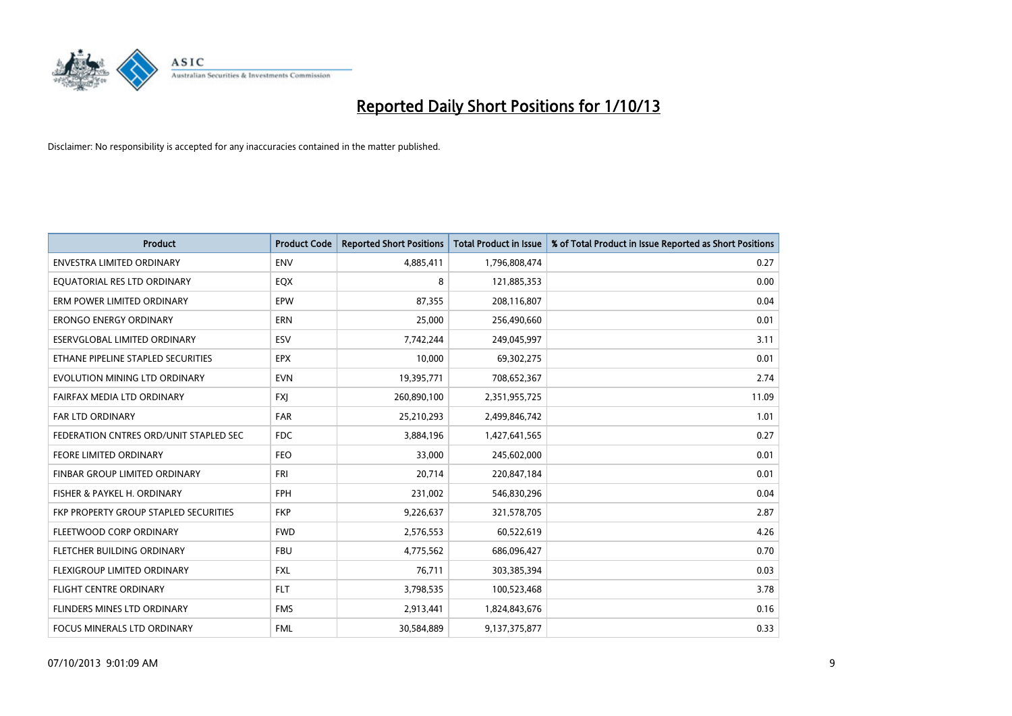

| <b>Product</b>                         | <b>Product Code</b> | <b>Reported Short Positions</b> | <b>Total Product in Issue</b> | % of Total Product in Issue Reported as Short Positions |
|----------------------------------------|---------------------|---------------------------------|-------------------------------|---------------------------------------------------------|
| <b>ENVESTRA LIMITED ORDINARY</b>       | <b>ENV</b>          | 4,885,411                       | 1,796,808,474                 | 0.27                                                    |
| EQUATORIAL RES LTD ORDINARY            | EQX                 | 8                               | 121,885,353                   | 0.00                                                    |
| ERM POWER LIMITED ORDINARY             | EPW                 | 87,355                          | 208,116,807                   | 0.04                                                    |
| <b>ERONGO ENERGY ORDINARY</b>          | <b>ERN</b>          | 25,000                          | 256,490,660                   | 0.01                                                    |
| ESERVGLOBAL LIMITED ORDINARY           | ESV                 | 7,742,244                       | 249,045,997                   | 3.11                                                    |
| ETHANE PIPELINE STAPLED SECURITIES     | <b>EPX</b>          | 10,000                          | 69,302,275                    | 0.01                                                    |
| EVOLUTION MINING LTD ORDINARY          | <b>EVN</b>          | 19,395,771                      | 708,652,367                   | 2.74                                                    |
| FAIRFAX MEDIA LTD ORDINARY             | <b>FXI</b>          | 260,890,100                     | 2,351,955,725                 | 11.09                                                   |
| <b>FAR LTD ORDINARY</b>                | <b>FAR</b>          | 25,210,293                      | 2,499,846,742                 | 1.01                                                    |
| FEDERATION CNTRES ORD/UNIT STAPLED SEC | <b>FDC</b>          | 3,884,196                       | 1,427,641,565                 | 0.27                                                    |
| FEORE LIMITED ORDINARY                 | <b>FEO</b>          | 33,000                          | 245,602,000                   | 0.01                                                    |
| <b>FINBAR GROUP LIMITED ORDINARY</b>   | <b>FRI</b>          | 20,714                          | 220,847,184                   | 0.01                                                    |
| FISHER & PAYKEL H. ORDINARY            | <b>FPH</b>          | 231,002                         | 546,830,296                   | 0.04                                                    |
| FKP PROPERTY GROUP STAPLED SECURITIES  | <b>FKP</b>          | 9,226,637                       | 321,578,705                   | 2.87                                                    |
| FLEETWOOD CORP ORDINARY                | <b>FWD</b>          | 2,576,553                       | 60,522,619                    | 4.26                                                    |
| FLETCHER BUILDING ORDINARY             | <b>FBU</b>          | 4,775,562                       | 686,096,427                   | 0.70                                                    |
| FLEXIGROUP LIMITED ORDINARY            | FXL                 | 76,711                          | 303,385,394                   | 0.03                                                    |
| <b>FLIGHT CENTRE ORDINARY</b>          | <b>FLT</b>          | 3,798,535                       | 100,523,468                   | 3.78                                                    |
| FLINDERS MINES LTD ORDINARY            | <b>FMS</b>          | 2,913,441                       | 1,824,843,676                 | 0.16                                                    |
| <b>FOCUS MINERALS LTD ORDINARY</b>     | <b>FML</b>          | 30,584,889                      | 9,137,375,877                 | 0.33                                                    |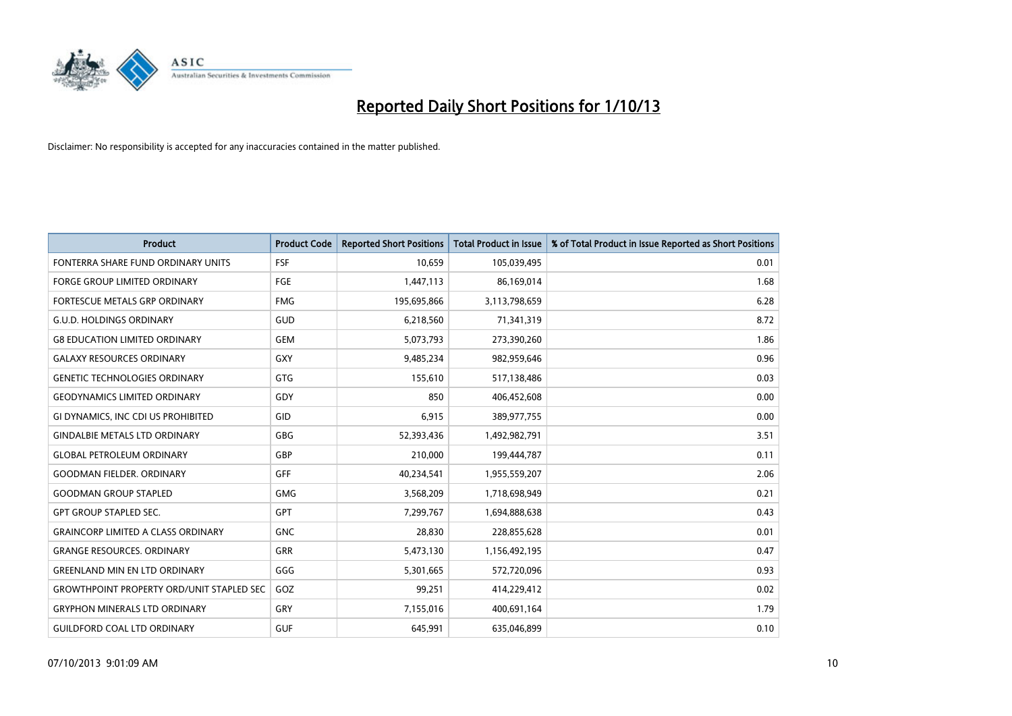

| <b>Product</b>                                   | <b>Product Code</b> | <b>Reported Short Positions</b> | <b>Total Product in Issue</b> | % of Total Product in Issue Reported as Short Positions |
|--------------------------------------------------|---------------------|---------------------------------|-------------------------------|---------------------------------------------------------|
| FONTERRA SHARE FUND ORDINARY UNITS               | <b>FSF</b>          | 10,659                          | 105,039,495                   | 0.01                                                    |
| FORGE GROUP LIMITED ORDINARY                     | <b>FGE</b>          | 1,447,113                       | 86,169,014                    | 1.68                                                    |
| FORTESCUE METALS GRP ORDINARY                    | <b>FMG</b>          | 195,695,866                     | 3,113,798,659                 | 6.28                                                    |
| <b>G.U.D. HOLDINGS ORDINARY</b>                  | GUD                 | 6,218,560                       | 71,341,319                    | 8.72                                                    |
| <b>G8 EDUCATION LIMITED ORDINARY</b>             | <b>GEM</b>          | 5,073,793                       | 273,390,260                   | 1.86                                                    |
| <b>GALAXY RESOURCES ORDINARY</b>                 | GXY                 | 9,485,234                       | 982,959,646                   | 0.96                                                    |
| <b>GENETIC TECHNOLOGIES ORDINARY</b>             | GTG                 | 155,610                         | 517,138,486                   | 0.03                                                    |
| <b>GEODYNAMICS LIMITED ORDINARY</b>              | GDY                 | 850                             | 406,452,608                   | 0.00                                                    |
| GI DYNAMICS, INC CDI US PROHIBITED               | GID                 | 6,915                           | 389,977,755                   | 0.00                                                    |
| <b>GINDALBIE METALS LTD ORDINARY</b>             | GBG                 | 52,393,436                      | 1,492,982,791                 | 3.51                                                    |
| <b>GLOBAL PETROLEUM ORDINARY</b>                 | GBP                 | 210,000                         | 199,444,787                   | 0.11                                                    |
| <b>GOODMAN FIELDER, ORDINARY</b>                 | <b>GFF</b>          | 40,234,541                      | 1,955,559,207                 | 2.06                                                    |
| <b>GOODMAN GROUP STAPLED</b>                     | GMG                 | 3,568,209                       | 1,718,698,949                 | 0.21                                                    |
| <b>GPT GROUP STAPLED SEC.</b>                    | <b>GPT</b>          | 7,299,767                       | 1,694,888,638                 | 0.43                                                    |
| <b>GRAINCORP LIMITED A CLASS ORDINARY</b>        | <b>GNC</b>          | 28,830                          | 228,855,628                   | 0.01                                                    |
| <b>GRANGE RESOURCES, ORDINARY</b>                | GRR                 | 5,473,130                       | 1,156,492,195                 | 0.47                                                    |
| <b>GREENLAND MIN EN LTD ORDINARY</b>             | GGG                 | 5,301,665                       | 572,720,096                   | 0.93                                                    |
| <b>GROWTHPOINT PROPERTY ORD/UNIT STAPLED SEC</b> | GOZ                 | 99,251                          | 414,229,412                   | 0.02                                                    |
| <b>GRYPHON MINERALS LTD ORDINARY</b>             | GRY                 | 7,155,016                       | 400,691,164                   | 1.79                                                    |
| <b>GUILDFORD COAL LTD ORDINARY</b>               | <b>GUF</b>          | 645,991                         | 635,046,899                   | 0.10                                                    |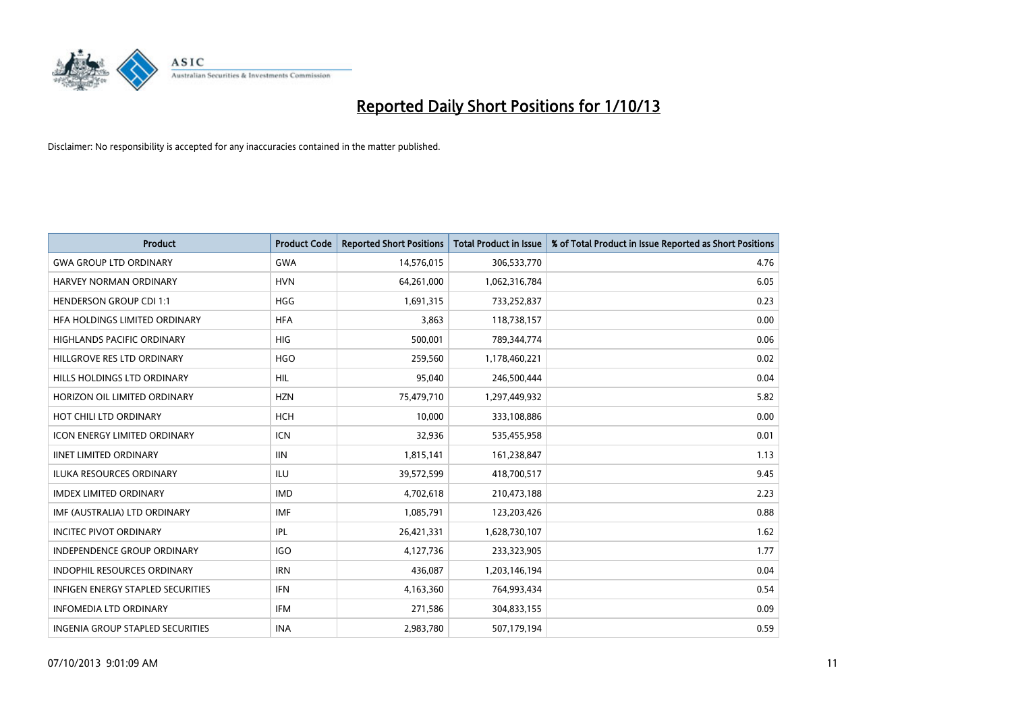

| Product                             | <b>Product Code</b> | <b>Reported Short Positions</b> | <b>Total Product in Issue</b> | % of Total Product in Issue Reported as Short Positions |
|-------------------------------------|---------------------|---------------------------------|-------------------------------|---------------------------------------------------------|
| <b>GWA GROUP LTD ORDINARY</b>       | <b>GWA</b>          | 14,576,015                      | 306,533,770                   | 4.76                                                    |
| HARVEY NORMAN ORDINARY              | <b>HVN</b>          | 64,261,000                      | 1,062,316,784                 | 6.05                                                    |
| <b>HENDERSON GROUP CDI 1:1</b>      | HGG                 | 1,691,315                       | 733,252,837                   | 0.23                                                    |
| HFA HOLDINGS LIMITED ORDINARY       | <b>HFA</b>          | 3,863                           | 118,738,157                   | 0.00                                                    |
| <b>HIGHLANDS PACIFIC ORDINARY</b>   | <b>HIG</b>          | 500,001                         | 789,344,774                   | 0.06                                                    |
| HILLGROVE RES LTD ORDINARY          | <b>HGO</b>          | 259,560                         | 1,178,460,221                 | 0.02                                                    |
| <b>HILLS HOLDINGS LTD ORDINARY</b>  | HIL                 | 95,040                          | 246,500,444                   | 0.04                                                    |
| HORIZON OIL LIMITED ORDINARY        | <b>HZN</b>          | 75,479,710                      | 1,297,449,932                 | 5.82                                                    |
| HOT CHILI LTD ORDINARY              | <b>HCH</b>          | 10,000                          | 333,108,886                   | 0.00                                                    |
| <b>ICON ENERGY LIMITED ORDINARY</b> | <b>ICN</b>          | 32,936                          | 535,455,958                   | 0.01                                                    |
| <b>IINET LIMITED ORDINARY</b>       | <b>IIN</b>          | 1,815,141                       | 161,238,847                   | 1.13                                                    |
| <b>ILUKA RESOURCES ORDINARY</b>     | ILU                 | 39,572,599                      | 418,700,517                   | 9.45                                                    |
| <b>IMDEX LIMITED ORDINARY</b>       | <b>IMD</b>          | 4,702,618                       | 210,473,188                   | 2.23                                                    |
| IMF (AUSTRALIA) LTD ORDINARY        | <b>IMF</b>          | 1,085,791                       | 123,203,426                   | 0.88                                                    |
| <b>INCITEC PIVOT ORDINARY</b>       | IPL                 | 26,421,331                      | 1,628,730,107                 | 1.62                                                    |
| <b>INDEPENDENCE GROUP ORDINARY</b>  | <b>IGO</b>          | 4,127,736                       | 233,323,905                   | 1.77                                                    |
| <b>INDOPHIL RESOURCES ORDINARY</b>  | <b>IRN</b>          | 436,087                         | 1,203,146,194                 | 0.04                                                    |
| INFIGEN ENERGY STAPLED SECURITIES   | <b>IFN</b>          | 4,163,360                       | 764,993,434                   | 0.54                                                    |
| <b>INFOMEDIA LTD ORDINARY</b>       | IFM                 | 271,586                         | 304,833,155                   | 0.09                                                    |
| INGENIA GROUP STAPLED SECURITIES    | <b>INA</b>          | 2,983,780                       | 507,179,194                   | 0.59                                                    |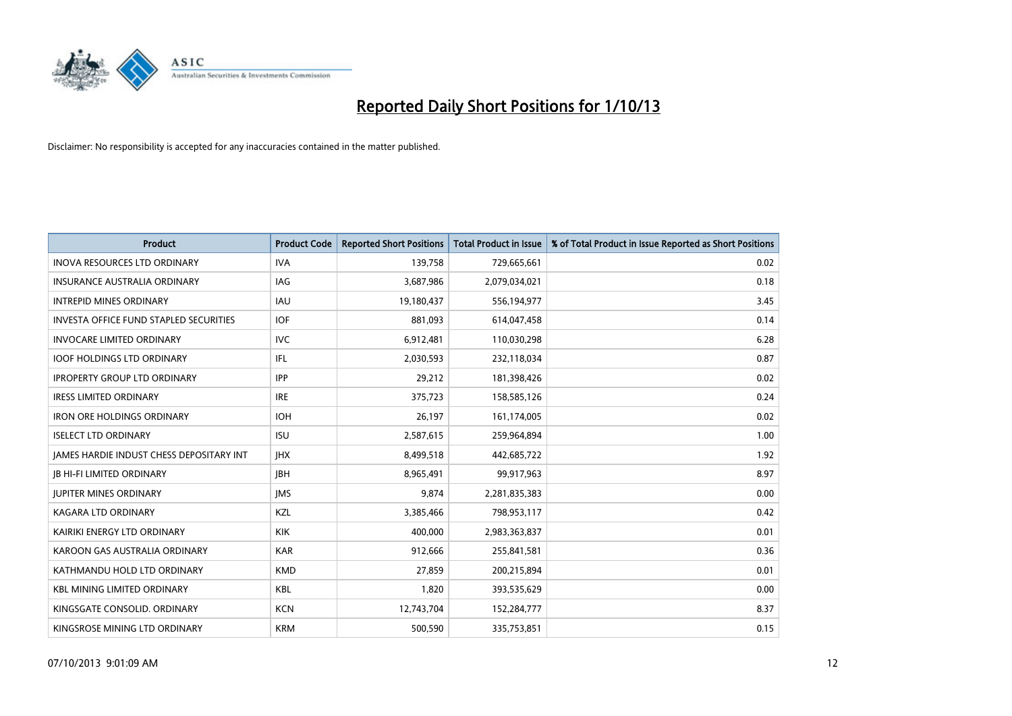

| <b>Product</b>                                | <b>Product Code</b> | <b>Reported Short Positions</b> | <b>Total Product in Issue</b> | % of Total Product in Issue Reported as Short Positions |
|-----------------------------------------------|---------------------|---------------------------------|-------------------------------|---------------------------------------------------------|
| <b>INOVA RESOURCES LTD ORDINARY</b>           | <b>IVA</b>          | 139,758                         | 729,665,661                   | 0.02                                                    |
| <b>INSURANCE AUSTRALIA ORDINARY</b>           | IAG                 | 3,687,986                       | 2,079,034,021                 | 0.18                                                    |
| <b>INTREPID MINES ORDINARY</b>                | IAU                 | 19,180,437                      | 556,194,977                   | 3.45                                                    |
| <b>INVESTA OFFICE FUND STAPLED SECURITIES</b> | <b>IOF</b>          | 881,093                         | 614,047,458                   | 0.14                                                    |
| <b>INVOCARE LIMITED ORDINARY</b>              | <b>IVC</b>          | 6,912,481                       | 110,030,298                   | 6.28                                                    |
| <b>IOOF HOLDINGS LTD ORDINARY</b>             | IFL                 | 2,030,593                       | 232,118,034                   | 0.87                                                    |
| <b>IPROPERTY GROUP LTD ORDINARY</b>           | <b>IPP</b>          | 29,212                          | 181,398,426                   | 0.02                                                    |
| <b>IRESS LIMITED ORDINARY</b>                 | <b>IRE</b>          | 375,723                         | 158,585,126                   | 0.24                                                    |
| <b>IRON ORE HOLDINGS ORDINARY</b>             | <b>IOH</b>          | 26,197                          | 161,174,005                   | 0.02                                                    |
| <b>ISELECT LTD ORDINARY</b>                   | <b>ISU</b>          | 2,587,615                       | 259,964,894                   | 1.00                                                    |
| JAMES HARDIE INDUST CHESS DEPOSITARY INT      | <b>IHX</b>          | 8,499,518                       | 442,685,722                   | 1.92                                                    |
| <b>JB HI-FI LIMITED ORDINARY</b>              | <b>IBH</b>          | 8,965,491                       | 99,917,963                    | 8.97                                                    |
| <b>JUPITER MINES ORDINARY</b>                 | <b>IMS</b>          | 9,874                           | 2,281,835,383                 | 0.00                                                    |
| <b>KAGARA LTD ORDINARY</b>                    | <b>KZL</b>          | 3,385,466                       | 798,953,117                   | 0.42                                                    |
| KAIRIKI ENERGY LTD ORDINARY                   | <b>KIK</b>          | 400,000                         | 2,983,363,837                 | 0.01                                                    |
| KAROON GAS AUSTRALIA ORDINARY                 | <b>KAR</b>          | 912,666                         | 255,841,581                   | 0.36                                                    |
| KATHMANDU HOLD LTD ORDINARY                   | <b>KMD</b>          | 27,859                          | 200,215,894                   | 0.01                                                    |
| <b>KBL MINING LIMITED ORDINARY</b>            | <b>KBL</b>          | 1,820                           | 393,535,629                   | 0.00                                                    |
| KINGSGATE CONSOLID, ORDINARY                  | <b>KCN</b>          | 12,743,704                      | 152,284,777                   | 8.37                                                    |
| KINGSROSE MINING LTD ORDINARY                 | <b>KRM</b>          | 500,590                         | 335,753,851                   | 0.15                                                    |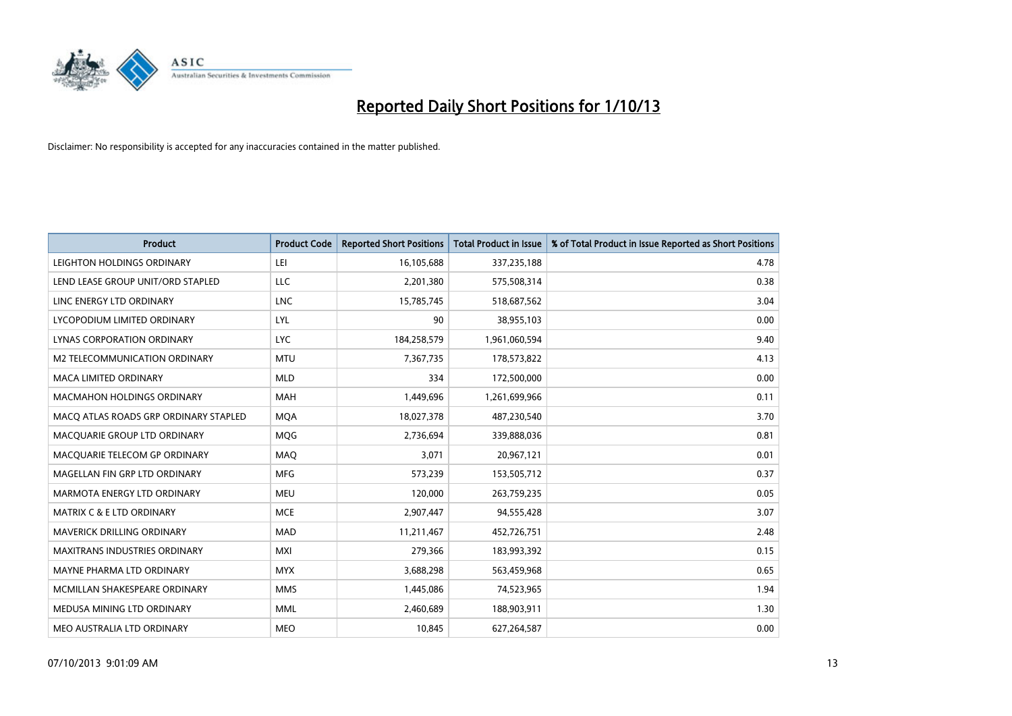

| <b>Product</b>                        | <b>Product Code</b> | <b>Reported Short Positions</b> | <b>Total Product in Issue</b> | % of Total Product in Issue Reported as Short Positions |
|---------------------------------------|---------------------|---------------------------------|-------------------------------|---------------------------------------------------------|
| LEIGHTON HOLDINGS ORDINARY            | LEI                 | 16,105,688                      | 337,235,188                   | 4.78                                                    |
| LEND LEASE GROUP UNIT/ORD STAPLED     | <b>LLC</b>          | 2,201,380                       | 575,508,314                   | 0.38                                                    |
| LINC ENERGY LTD ORDINARY              | <b>LNC</b>          | 15,785,745                      | 518,687,562                   | 3.04                                                    |
| LYCOPODIUM LIMITED ORDINARY           | LYL                 | 90                              | 38,955,103                    | 0.00                                                    |
| LYNAS CORPORATION ORDINARY            | <b>LYC</b>          | 184,258,579                     | 1,961,060,594                 | 9.40                                                    |
| <b>M2 TELECOMMUNICATION ORDINARY</b>  | <b>MTU</b>          | 7,367,735                       | 178,573,822                   | 4.13                                                    |
| <b>MACA LIMITED ORDINARY</b>          | <b>MLD</b>          | 334                             | 172,500,000                   | 0.00                                                    |
| MACMAHON HOLDINGS ORDINARY            | MAH                 | 1,449,696                       | 1,261,699,966                 | 0.11                                                    |
| MACO ATLAS ROADS GRP ORDINARY STAPLED | <b>MOA</b>          | 18,027,378                      | 487,230,540                   | 3.70                                                    |
| MACQUARIE GROUP LTD ORDINARY          | <b>MOG</b>          | 2,736,694                       | 339,888,036                   | 0.81                                                    |
| MACQUARIE TELECOM GP ORDINARY         | MAQ                 | 3,071                           | 20,967,121                    | 0.01                                                    |
| MAGELLAN FIN GRP LTD ORDINARY         | <b>MFG</b>          | 573,239                         | 153,505,712                   | 0.37                                                    |
| MARMOTA ENERGY LTD ORDINARY           | <b>MEU</b>          | 120,000                         | 263,759,235                   | 0.05                                                    |
| <b>MATRIX C &amp; E LTD ORDINARY</b>  | <b>MCE</b>          | 2,907,447                       | 94,555,428                    | 3.07                                                    |
| <b>MAVERICK DRILLING ORDINARY</b>     | <b>MAD</b>          | 11,211,467                      | 452,726,751                   | 2.48                                                    |
| MAXITRANS INDUSTRIES ORDINARY         | <b>MXI</b>          | 279,366                         | 183,993,392                   | 0.15                                                    |
| MAYNE PHARMA LTD ORDINARY             | <b>MYX</b>          | 3,688,298                       | 563,459,968                   | 0.65                                                    |
| MCMILLAN SHAKESPEARE ORDINARY         | <b>MMS</b>          | 1,445,086                       | 74,523,965                    | 1.94                                                    |
| MEDUSA MINING LTD ORDINARY            | <b>MML</b>          | 2,460,689                       | 188,903,911                   | 1.30                                                    |
| MEO AUSTRALIA LTD ORDINARY            | <b>MEO</b>          | 10,845                          | 627,264,587                   | 0.00                                                    |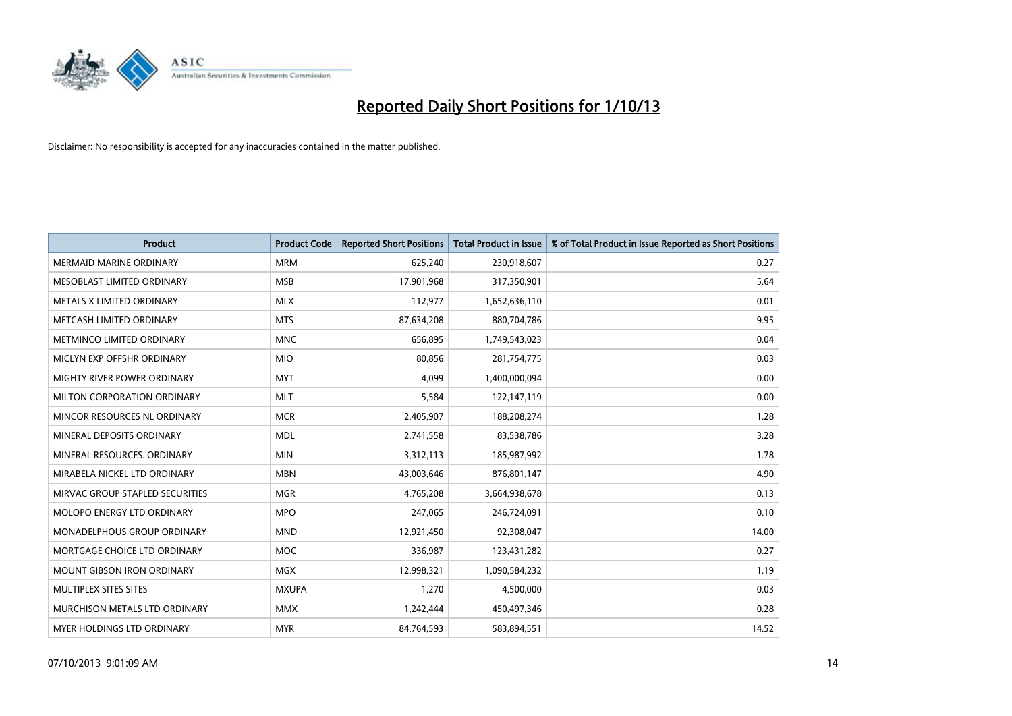

| <b>Product</b>                  | <b>Product Code</b> | <b>Reported Short Positions</b> | <b>Total Product in Issue</b> | % of Total Product in Issue Reported as Short Positions |
|---------------------------------|---------------------|---------------------------------|-------------------------------|---------------------------------------------------------|
| <b>MERMAID MARINE ORDINARY</b>  | <b>MRM</b>          | 625,240                         | 230,918,607                   | 0.27                                                    |
| MESOBLAST LIMITED ORDINARY      | <b>MSB</b>          | 17,901,968                      | 317,350,901                   | 5.64                                                    |
| METALS X LIMITED ORDINARY       | <b>MLX</b>          | 112,977                         | 1,652,636,110                 | 0.01                                                    |
| METCASH LIMITED ORDINARY        | <b>MTS</b>          | 87,634,208                      | 880,704,786                   | 9.95                                                    |
| METMINCO LIMITED ORDINARY       | <b>MNC</b>          | 656,895                         | 1,749,543,023                 | 0.04                                                    |
| MICLYN EXP OFFSHR ORDINARY      | <b>MIO</b>          | 80,856                          | 281,754,775                   | 0.03                                                    |
| MIGHTY RIVER POWER ORDINARY     | <b>MYT</b>          | 4,099                           | 1,400,000,094                 | 0.00                                                    |
| MILTON CORPORATION ORDINARY     | <b>MLT</b>          | 5,584                           | 122,147,119                   | 0.00                                                    |
| MINCOR RESOURCES NL ORDINARY    | <b>MCR</b>          | 2,405,907                       | 188,208,274                   | 1.28                                                    |
| MINERAL DEPOSITS ORDINARY       | <b>MDL</b>          | 2,741,558                       | 83,538,786                    | 3.28                                                    |
| MINERAL RESOURCES. ORDINARY     | <b>MIN</b>          | 3,312,113                       | 185,987,992                   | 1.78                                                    |
| MIRABELA NICKEL LTD ORDINARY    | <b>MBN</b>          | 43,003,646                      | 876,801,147                   | 4.90                                                    |
| MIRVAC GROUP STAPLED SECURITIES | <b>MGR</b>          | 4,765,208                       | 3,664,938,678                 | 0.13                                                    |
| MOLOPO ENERGY LTD ORDINARY      | <b>MPO</b>          | 247,065                         | 246,724,091                   | 0.10                                                    |
| MONADELPHOUS GROUP ORDINARY     | <b>MND</b>          | 12,921,450                      | 92,308,047                    | 14.00                                                   |
| MORTGAGE CHOICE LTD ORDINARY    | MOC                 | 336,987                         | 123,431,282                   | 0.27                                                    |
| MOUNT GIBSON IRON ORDINARY      | <b>MGX</b>          | 12,998,321                      | 1,090,584,232                 | 1.19                                                    |
| MULTIPLEX SITES SITES           | <b>MXUPA</b>        | 1,270                           | 4,500,000                     | 0.03                                                    |
| MURCHISON METALS LTD ORDINARY   | <b>MMX</b>          | 1,242,444                       | 450,497,346                   | 0.28                                                    |
| MYER HOLDINGS LTD ORDINARY      | <b>MYR</b>          | 84,764,593                      | 583,894,551                   | 14.52                                                   |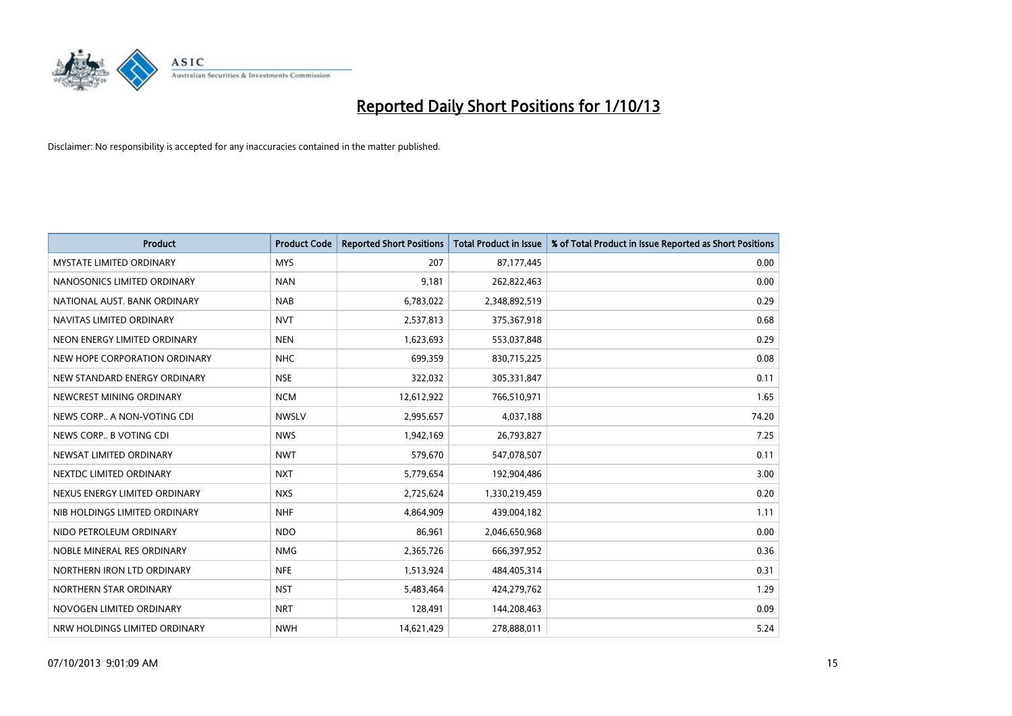

| <b>Product</b>                  | <b>Product Code</b> | <b>Reported Short Positions</b> | <b>Total Product in Issue</b> | % of Total Product in Issue Reported as Short Positions |
|---------------------------------|---------------------|---------------------------------|-------------------------------|---------------------------------------------------------|
| <b>MYSTATE LIMITED ORDINARY</b> | <b>MYS</b>          | 207                             | 87,177,445                    | 0.00                                                    |
| NANOSONICS LIMITED ORDINARY     | <b>NAN</b>          | 9,181                           | 262,822,463                   | 0.00                                                    |
| NATIONAL AUST. BANK ORDINARY    | <b>NAB</b>          | 6,783,022                       | 2,348,892,519                 | 0.29                                                    |
| NAVITAS LIMITED ORDINARY        | <b>NVT</b>          | 2,537,813                       | 375,367,918                   | 0.68                                                    |
| NEON ENERGY LIMITED ORDINARY    | <b>NEN</b>          | 1,623,693                       | 553,037,848                   | 0.29                                                    |
| NEW HOPE CORPORATION ORDINARY   | <b>NHC</b>          | 699,359                         | 830,715,225                   | 0.08                                                    |
| NEW STANDARD ENERGY ORDINARY    | <b>NSE</b>          | 322,032                         | 305,331,847                   | 0.11                                                    |
| NEWCREST MINING ORDINARY        | <b>NCM</b>          | 12,612,922                      | 766,510,971                   | 1.65                                                    |
| NEWS CORP A NON-VOTING CDI      | <b>NWSLV</b>        | 2,995,657                       | 4,037,188                     | 74.20                                                   |
| NEWS CORP B VOTING CDI          | <b>NWS</b>          | 1,942,169                       | 26,793,827                    | 7.25                                                    |
| NEWSAT LIMITED ORDINARY         | <b>NWT</b>          | 579,670                         | 547,078,507                   | 0.11                                                    |
| NEXTDC LIMITED ORDINARY         | <b>NXT</b>          | 5,779,654                       | 192,904,486                   | 3.00                                                    |
| NEXUS ENERGY LIMITED ORDINARY   | <b>NXS</b>          | 2,725,624                       | 1,330,219,459                 | 0.20                                                    |
| NIB HOLDINGS LIMITED ORDINARY   | <b>NHF</b>          | 4,864,909                       | 439,004,182                   | 1.11                                                    |
| NIDO PETROLEUM ORDINARY         | <b>NDO</b>          | 86,961                          | 2,046,650,968                 | 0.00                                                    |
| NOBLE MINERAL RES ORDINARY      | <b>NMG</b>          | 2,365,726                       | 666,397,952                   | 0.36                                                    |
| NORTHERN IRON LTD ORDINARY      | <b>NFE</b>          | 1,513,924                       | 484,405,314                   | 0.31                                                    |
| NORTHERN STAR ORDINARY          | <b>NST</b>          | 5,483,464                       | 424,279,762                   | 1.29                                                    |
| NOVOGEN LIMITED ORDINARY        | <b>NRT</b>          | 128,491                         | 144,208,463                   | 0.09                                                    |
| NRW HOLDINGS LIMITED ORDINARY   | <b>NWH</b>          | 14,621,429                      | 278,888,011                   | 5.24                                                    |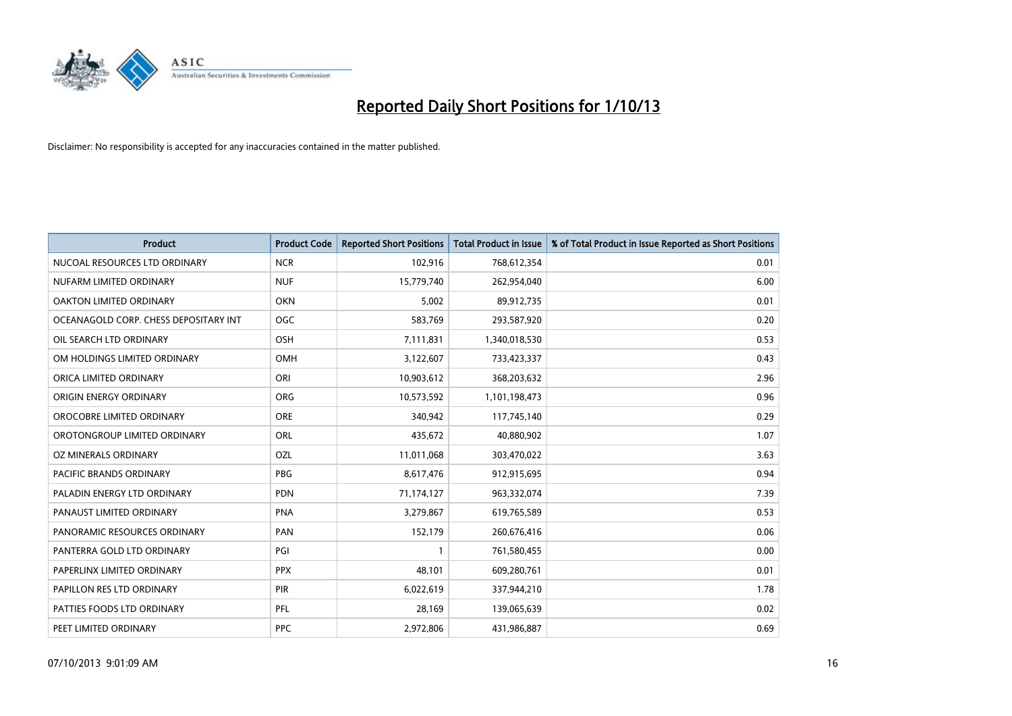

| <b>Product</b>                        | <b>Product Code</b> | <b>Reported Short Positions</b> | <b>Total Product in Issue</b> | % of Total Product in Issue Reported as Short Positions |
|---------------------------------------|---------------------|---------------------------------|-------------------------------|---------------------------------------------------------|
| NUCOAL RESOURCES LTD ORDINARY         | <b>NCR</b>          | 102,916                         | 768,612,354                   | 0.01                                                    |
| NUFARM LIMITED ORDINARY               | <b>NUF</b>          | 15,779,740                      | 262,954,040                   | 6.00                                                    |
| OAKTON LIMITED ORDINARY               | <b>OKN</b>          | 5,002                           | 89,912,735                    | 0.01                                                    |
| OCEANAGOLD CORP. CHESS DEPOSITARY INT | <b>OGC</b>          | 583,769                         | 293,587,920                   | 0.20                                                    |
| OIL SEARCH LTD ORDINARY               | OSH                 | 7,111,831                       | 1,340,018,530                 | 0.53                                                    |
| OM HOLDINGS LIMITED ORDINARY          | <b>OMH</b>          | 3,122,607                       | 733,423,337                   | 0.43                                                    |
| ORICA LIMITED ORDINARY                | ORI                 | 10,903,612                      | 368,203,632                   | 2.96                                                    |
| ORIGIN ENERGY ORDINARY                | ORG                 | 10,573,592                      | 1,101,198,473                 | 0.96                                                    |
| OROCOBRE LIMITED ORDINARY             | <b>ORE</b>          | 340,942                         | 117,745,140                   | 0.29                                                    |
| OROTONGROUP LIMITED ORDINARY          | ORL                 | 435,672                         | 40,880,902                    | 1.07                                                    |
| OZ MINERALS ORDINARY                  | OZL                 | 11,011,068                      | 303,470,022                   | 3.63                                                    |
| PACIFIC BRANDS ORDINARY               | <b>PBG</b>          | 8,617,476                       | 912,915,695                   | 0.94                                                    |
| PALADIN ENERGY LTD ORDINARY           | <b>PDN</b>          | 71,174,127                      | 963,332,074                   | 7.39                                                    |
| PANAUST LIMITED ORDINARY              | <b>PNA</b>          | 3,279,867                       | 619,765,589                   | 0.53                                                    |
| PANORAMIC RESOURCES ORDINARY          | PAN                 | 152,179                         | 260,676,416                   | 0.06                                                    |
| PANTERRA GOLD LTD ORDINARY            | PGI                 |                                 | 761,580,455                   | 0.00                                                    |
| PAPERLINX LIMITED ORDINARY            | <b>PPX</b>          | 48,101                          | 609,280,761                   | 0.01                                                    |
| PAPILLON RES LTD ORDINARY             | PIR                 | 6,022,619                       | 337,944,210                   | 1.78                                                    |
| PATTIES FOODS LTD ORDINARY            | <b>PFL</b>          | 28,169                          | 139,065,639                   | 0.02                                                    |
| PEET LIMITED ORDINARY                 | <b>PPC</b>          | 2,972,806                       | 431,986,887                   | 0.69                                                    |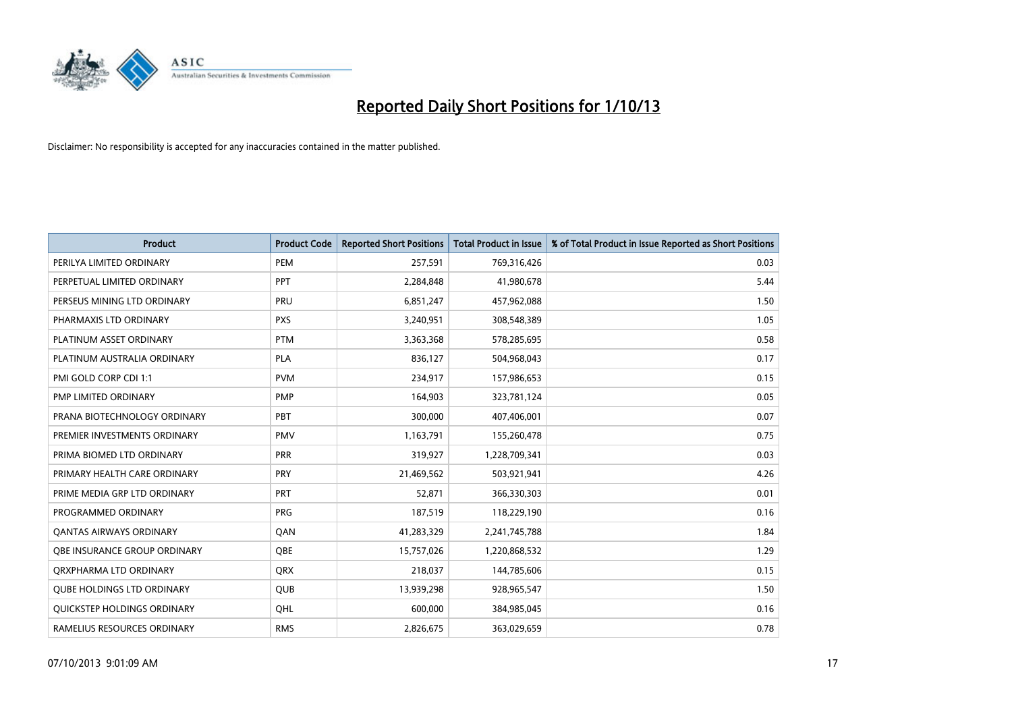

| <b>Product</b>                    | <b>Product Code</b> | <b>Reported Short Positions</b> | <b>Total Product in Issue</b> | % of Total Product in Issue Reported as Short Positions |
|-----------------------------------|---------------------|---------------------------------|-------------------------------|---------------------------------------------------------|
| PERILYA LIMITED ORDINARY          | PEM                 | 257,591                         | 769,316,426                   | 0.03                                                    |
| PERPETUAL LIMITED ORDINARY        | <b>PPT</b>          | 2,284,848                       | 41,980,678                    | 5.44                                                    |
| PERSEUS MINING LTD ORDINARY       | <b>PRU</b>          | 6,851,247                       | 457,962,088                   | 1.50                                                    |
| PHARMAXIS LTD ORDINARY            | <b>PXS</b>          | 3,240,951                       | 308,548,389                   | 1.05                                                    |
| PLATINUM ASSET ORDINARY           | <b>PTM</b>          | 3,363,368                       | 578,285,695                   | 0.58                                                    |
| PLATINUM AUSTRALIA ORDINARY       | <b>PLA</b>          | 836,127                         | 504,968,043                   | 0.17                                                    |
| PMI GOLD CORP CDI 1:1             | <b>PVM</b>          | 234,917                         | 157,986,653                   | 0.15                                                    |
| PMP LIMITED ORDINARY              | <b>PMP</b>          | 164,903                         | 323,781,124                   | 0.05                                                    |
| PRANA BIOTECHNOLOGY ORDINARY      | <b>PBT</b>          | 300,000                         | 407,406,001                   | 0.07                                                    |
| PREMIER INVESTMENTS ORDINARY      | <b>PMV</b>          | 1,163,791                       | 155,260,478                   | 0.75                                                    |
| PRIMA BIOMED LTD ORDINARY         | <b>PRR</b>          | 319,927                         | 1,228,709,341                 | 0.03                                                    |
| PRIMARY HEALTH CARE ORDINARY      | <b>PRY</b>          | 21,469,562                      | 503,921,941                   | 4.26                                                    |
| PRIME MEDIA GRP LTD ORDINARY      | <b>PRT</b>          | 52,871                          | 366,330,303                   | 0.01                                                    |
| PROGRAMMED ORDINARY               | <b>PRG</b>          | 187,519                         | 118,229,190                   | 0.16                                                    |
| <b>QANTAS AIRWAYS ORDINARY</b>    | QAN                 | 41,283,329                      | 2,241,745,788                 | 1.84                                                    |
| OBE INSURANCE GROUP ORDINARY      | <b>OBE</b>          | 15,757,026                      | 1,220,868,532                 | 1.29                                                    |
| ORXPHARMA LTD ORDINARY            | <b>QRX</b>          | 218,037                         | 144,785,606                   | 0.15                                                    |
| <b>QUBE HOLDINGS LTD ORDINARY</b> | QUB                 | 13,939,298                      | 928,965,547                   | 1.50                                                    |
| QUICKSTEP HOLDINGS ORDINARY       | OHL                 | 600,000                         | 384,985,045                   | 0.16                                                    |
| RAMELIUS RESOURCES ORDINARY       | <b>RMS</b>          | 2,826,675                       | 363,029,659                   | 0.78                                                    |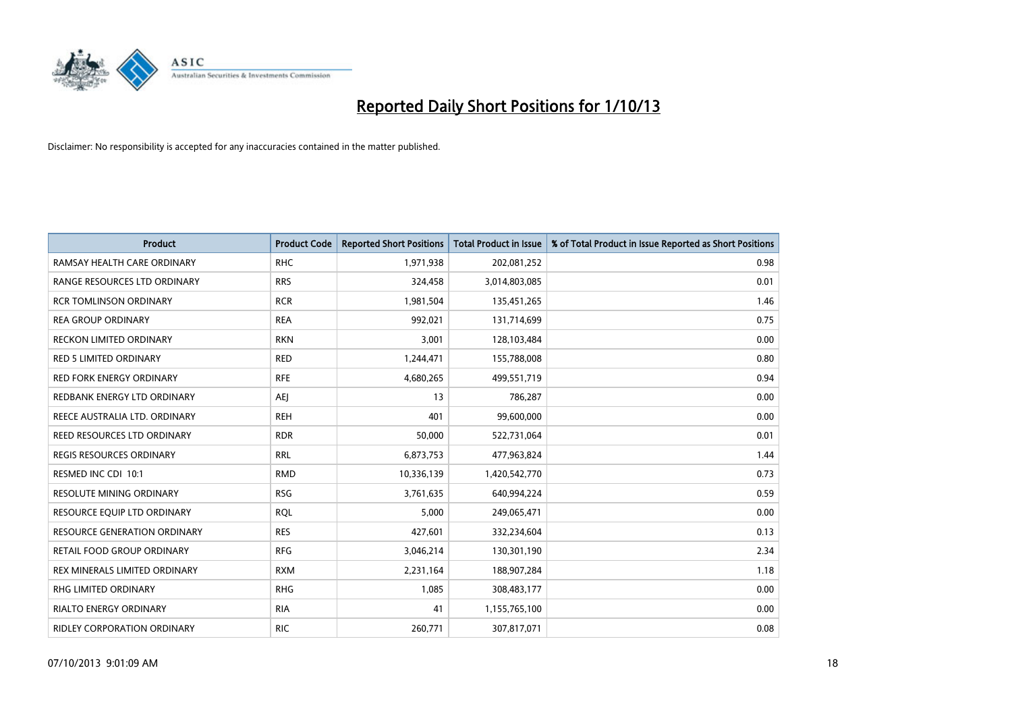

| <b>Product</b>                      | <b>Product Code</b> | <b>Reported Short Positions</b> | <b>Total Product in Issue</b> | % of Total Product in Issue Reported as Short Positions |
|-------------------------------------|---------------------|---------------------------------|-------------------------------|---------------------------------------------------------|
| RAMSAY HEALTH CARE ORDINARY         | <b>RHC</b>          | 1,971,938                       | 202,081,252                   | 0.98                                                    |
| RANGE RESOURCES LTD ORDINARY        | <b>RRS</b>          | 324,458                         | 3,014,803,085                 | 0.01                                                    |
| <b>RCR TOMLINSON ORDINARY</b>       | <b>RCR</b>          | 1,981,504                       | 135,451,265                   | 1.46                                                    |
| <b>REA GROUP ORDINARY</b>           | <b>REA</b>          | 992,021                         | 131,714,699                   | 0.75                                                    |
| <b>RECKON LIMITED ORDINARY</b>      | <b>RKN</b>          | 3,001                           | 128,103,484                   | 0.00                                                    |
| <b>RED 5 LIMITED ORDINARY</b>       | <b>RED</b>          | 1,244,471                       | 155,788,008                   | 0.80                                                    |
| <b>RED FORK ENERGY ORDINARY</b>     | <b>RFE</b>          | 4,680,265                       | 499,551,719                   | 0.94                                                    |
| REDBANK ENERGY LTD ORDINARY         | <b>AEJ</b>          | 13                              | 786,287                       | 0.00                                                    |
| REECE AUSTRALIA LTD. ORDINARY       | <b>REH</b>          | 401                             | 99,600,000                    | 0.00                                                    |
| REED RESOURCES LTD ORDINARY         | <b>RDR</b>          | 50,000                          | 522,731,064                   | 0.01                                                    |
| <b>REGIS RESOURCES ORDINARY</b>     | <b>RRL</b>          | 6,873,753                       | 477,963,824                   | 1.44                                                    |
| RESMED INC CDI 10:1                 | <b>RMD</b>          | 10,336,139                      | 1,420,542,770                 | 0.73                                                    |
| RESOLUTE MINING ORDINARY            | <b>RSG</b>          | 3,761,635                       | 640,994,224                   | 0.59                                                    |
| RESOURCE EQUIP LTD ORDINARY         | <b>RQL</b>          | 5,000                           | 249,065,471                   | 0.00                                                    |
| <b>RESOURCE GENERATION ORDINARY</b> | <b>RES</b>          | 427,601                         | 332,234,604                   | 0.13                                                    |
| RETAIL FOOD GROUP ORDINARY          | <b>RFG</b>          | 3,046,214                       | 130,301,190                   | 2.34                                                    |
| REX MINERALS LIMITED ORDINARY       | <b>RXM</b>          | 2,231,164                       | 188,907,284                   | 1.18                                                    |
| RHG LIMITED ORDINARY                | <b>RHG</b>          | 1,085                           | 308,483,177                   | 0.00                                                    |
| <b>RIALTO ENERGY ORDINARY</b>       | <b>RIA</b>          | 41                              | 1,155,765,100                 | 0.00                                                    |
| RIDLEY CORPORATION ORDINARY         | <b>RIC</b>          | 260,771                         | 307,817,071                   | 0.08                                                    |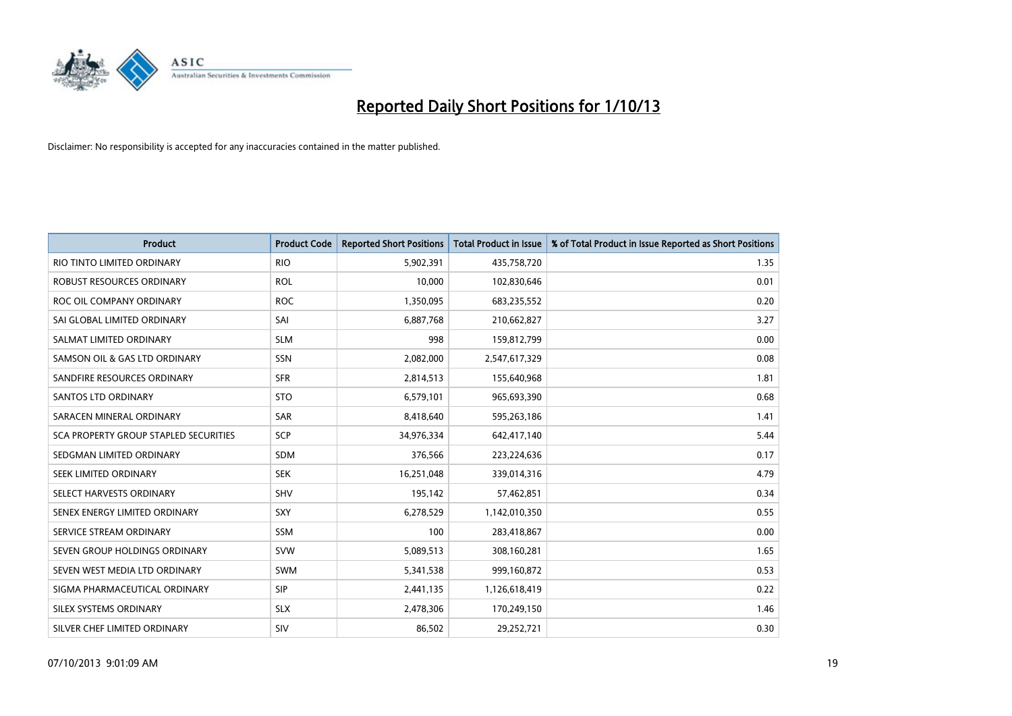

| <b>Product</b>                        | <b>Product Code</b> | <b>Reported Short Positions</b> | <b>Total Product in Issue</b> | % of Total Product in Issue Reported as Short Positions |
|---------------------------------------|---------------------|---------------------------------|-------------------------------|---------------------------------------------------------|
| RIO TINTO LIMITED ORDINARY            | <b>RIO</b>          | 5,902,391                       | 435,758,720                   | 1.35                                                    |
| ROBUST RESOURCES ORDINARY             | <b>ROL</b>          | 10,000                          | 102,830,646                   | 0.01                                                    |
| ROC OIL COMPANY ORDINARY              | <b>ROC</b>          | 1,350,095                       | 683,235,552                   | 0.20                                                    |
| SAI GLOBAL LIMITED ORDINARY           | SAI                 | 6,887,768                       | 210,662,827                   | 3.27                                                    |
| SALMAT LIMITED ORDINARY               | <b>SLM</b>          | 998                             | 159,812,799                   | 0.00                                                    |
| SAMSON OIL & GAS LTD ORDINARY         | SSN                 | 2,082,000                       | 2,547,617,329                 | 0.08                                                    |
| SANDFIRE RESOURCES ORDINARY           | <b>SFR</b>          | 2,814,513                       | 155,640,968                   | 1.81                                                    |
| <b>SANTOS LTD ORDINARY</b>            | <b>STO</b>          | 6,579,101                       | 965,693,390                   | 0.68                                                    |
| SARACEN MINERAL ORDINARY              | SAR                 | 8,418,640                       | 595,263,186                   | 1.41                                                    |
| SCA PROPERTY GROUP STAPLED SECURITIES | <b>SCP</b>          | 34,976,334                      | 642,417,140                   | 5.44                                                    |
| SEDGMAN LIMITED ORDINARY              | SDM                 | 376,566                         | 223,224,636                   | 0.17                                                    |
| <b>SEEK LIMITED ORDINARY</b>          | <b>SEK</b>          | 16,251,048                      | 339,014,316                   | 4.79                                                    |
| SELECT HARVESTS ORDINARY              | SHV                 | 195,142                         | 57,462,851                    | 0.34                                                    |
| SENEX ENERGY LIMITED ORDINARY         | SXY                 | 6,278,529                       | 1,142,010,350                 | 0.55                                                    |
| SERVICE STREAM ORDINARY               | <b>SSM</b>          | 100                             | 283,418,867                   | 0.00                                                    |
| SEVEN GROUP HOLDINGS ORDINARY         | <b>SVW</b>          | 5,089,513                       | 308,160,281                   | 1.65                                                    |
| SEVEN WEST MEDIA LTD ORDINARY         | SWM                 | 5,341,538                       | 999,160,872                   | 0.53                                                    |
| SIGMA PHARMACEUTICAL ORDINARY         | <b>SIP</b>          | 2,441,135                       | 1,126,618,419                 | 0.22                                                    |
| SILEX SYSTEMS ORDINARY                | <b>SLX</b>          | 2,478,306                       | 170,249,150                   | 1.46                                                    |
| SILVER CHEF LIMITED ORDINARY          | SIV                 | 86,502                          | 29,252,721                    | 0.30                                                    |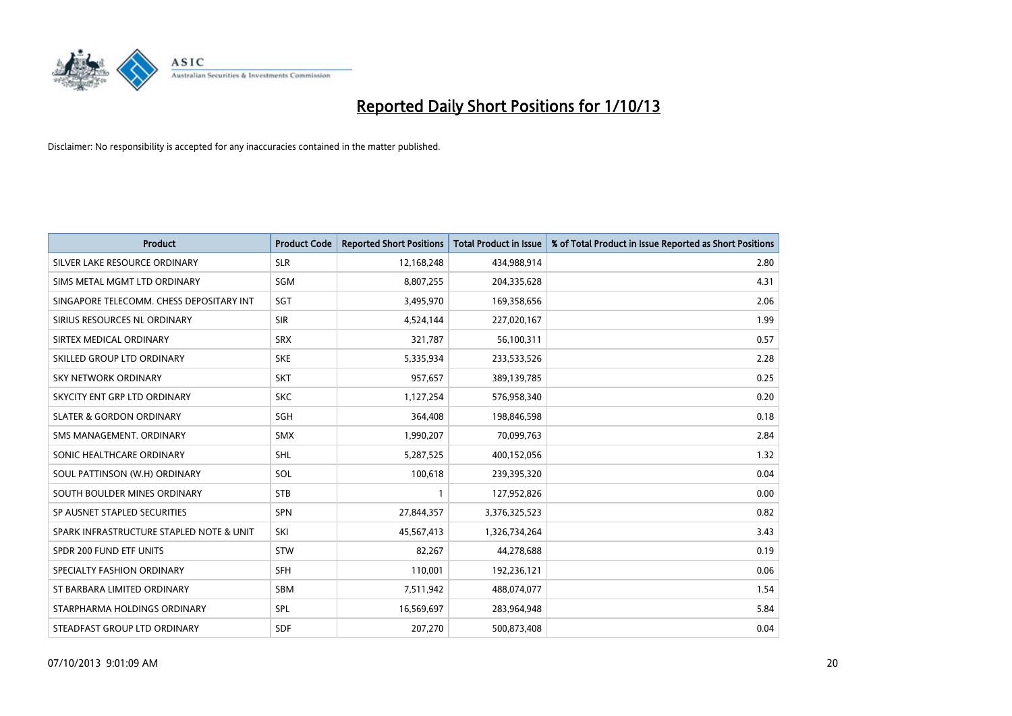

| <b>Product</b>                           | <b>Product Code</b> | <b>Reported Short Positions</b> | <b>Total Product in Issue</b> | % of Total Product in Issue Reported as Short Positions |
|------------------------------------------|---------------------|---------------------------------|-------------------------------|---------------------------------------------------------|
| SILVER LAKE RESOURCE ORDINARY            | <b>SLR</b>          | 12,168,248                      | 434,988,914                   | 2.80                                                    |
| SIMS METAL MGMT LTD ORDINARY             | SGM                 | 8,807,255                       | 204,335,628                   | 4.31                                                    |
| SINGAPORE TELECOMM. CHESS DEPOSITARY INT | SGT                 | 3,495,970                       | 169,358,656                   | 2.06                                                    |
| SIRIUS RESOURCES NL ORDINARY             | <b>SIR</b>          | 4,524,144                       | 227,020,167                   | 1.99                                                    |
| SIRTEX MEDICAL ORDINARY                  | <b>SRX</b>          | 321,787                         | 56,100,311                    | 0.57                                                    |
| SKILLED GROUP LTD ORDINARY               | <b>SKE</b>          | 5,335,934                       | 233,533,526                   | 2.28                                                    |
| SKY NETWORK ORDINARY                     | <b>SKT</b>          | 957,657                         | 389,139,785                   | 0.25                                                    |
| SKYCITY ENT GRP LTD ORDINARY             | <b>SKC</b>          | 1,127,254                       | 576,958,340                   | 0.20                                                    |
| <b>SLATER &amp; GORDON ORDINARY</b>      | SGH                 | 364,408                         | 198,846,598                   | 0.18                                                    |
| SMS MANAGEMENT, ORDINARY                 | <b>SMX</b>          | 1,990,207                       | 70,099,763                    | 2.84                                                    |
| SONIC HEALTHCARE ORDINARY                | <b>SHL</b>          | 5,287,525                       | 400,152,056                   | 1.32                                                    |
| SOUL PATTINSON (W.H) ORDINARY            | SOL                 | 100,618                         | 239,395,320                   | 0.04                                                    |
| SOUTH BOULDER MINES ORDINARY             | <b>STB</b>          | $\mathbf{1}$                    | 127,952,826                   | 0.00                                                    |
| SP AUSNET STAPLED SECURITIES             | SPN                 | 27,844,357                      | 3,376,325,523                 | 0.82                                                    |
| SPARK INFRASTRUCTURE STAPLED NOTE & UNIT | SKI                 | 45,567,413                      | 1,326,734,264                 | 3.43                                                    |
| SPDR 200 FUND ETF UNITS                  | <b>STW</b>          | 82,267                          | 44,278,688                    | 0.19                                                    |
| SPECIALTY FASHION ORDINARY               | <b>SFH</b>          | 110,001                         | 192,236,121                   | 0.06                                                    |
| ST BARBARA LIMITED ORDINARY              | <b>SBM</b>          | 7,511,942                       | 488,074,077                   | 1.54                                                    |
| STARPHARMA HOLDINGS ORDINARY             | <b>SPL</b>          | 16,569,697                      | 283,964,948                   | 5.84                                                    |
| STEADFAST GROUP LTD ORDINARY             | <b>SDF</b>          | 207,270                         | 500,873,408                   | 0.04                                                    |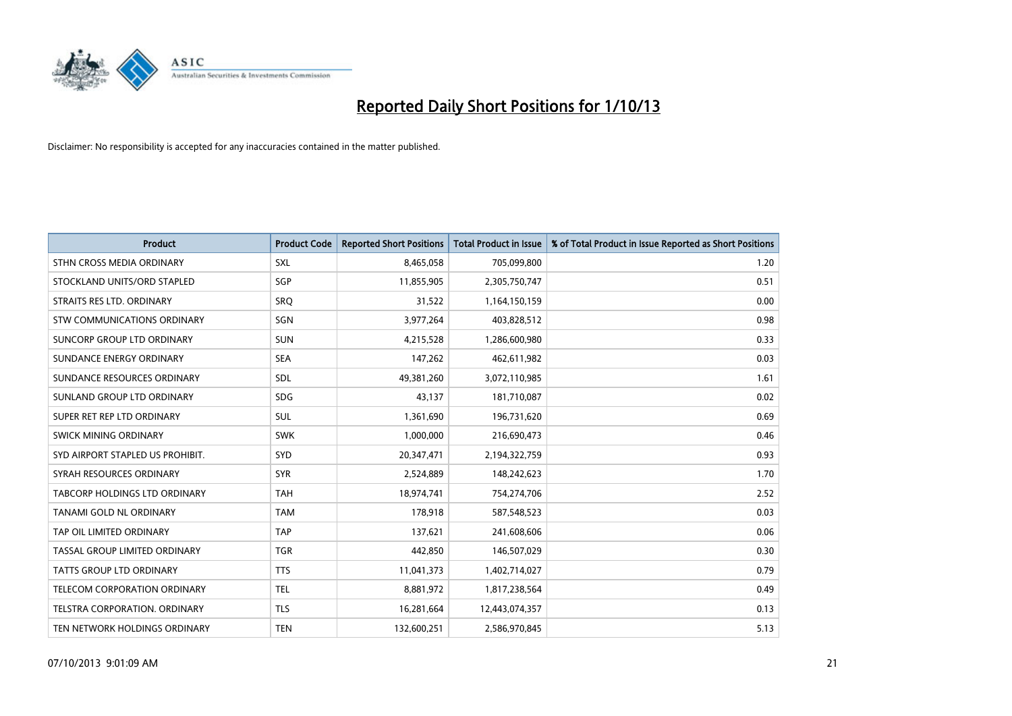

| <b>Product</b>                    | <b>Product Code</b> | <b>Reported Short Positions</b> | <b>Total Product in Issue</b> | % of Total Product in Issue Reported as Short Positions |
|-----------------------------------|---------------------|---------------------------------|-------------------------------|---------------------------------------------------------|
| STHN CROSS MEDIA ORDINARY         | <b>SXL</b>          | 8,465,058                       | 705,099,800                   | 1.20                                                    |
| STOCKLAND UNITS/ORD STAPLED       | SGP                 | 11,855,905                      | 2,305,750,747                 | 0.51                                                    |
| STRAITS RES LTD. ORDINARY         | SRO                 | 31,522                          | 1,164,150,159                 | 0.00                                                    |
| STW COMMUNICATIONS ORDINARY       | SGN                 | 3,977,264                       | 403,828,512                   | 0.98                                                    |
| <b>SUNCORP GROUP LTD ORDINARY</b> | <b>SUN</b>          | 4,215,528                       | 1,286,600,980                 | 0.33                                                    |
| SUNDANCE ENERGY ORDINARY          | <b>SEA</b>          | 147,262                         | 462,611,982                   | 0.03                                                    |
| SUNDANCE RESOURCES ORDINARY       | SDL                 | 49,381,260                      | 3,072,110,985                 | 1.61                                                    |
| SUNLAND GROUP LTD ORDINARY        | <b>SDG</b>          | 43,137                          | 181,710,087                   | 0.02                                                    |
| SUPER RET REP LTD ORDINARY        | <b>SUL</b>          | 1,361,690                       | 196,731,620                   | 0.69                                                    |
| SWICK MINING ORDINARY             | <b>SWK</b>          | 1,000,000                       | 216,690,473                   | 0.46                                                    |
| SYD AIRPORT STAPLED US PROHIBIT.  | SYD                 | 20,347,471                      | 2,194,322,759                 | 0.93                                                    |
| SYRAH RESOURCES ORDINARY          | <b>SYR</b>          | 2,524,889                       | 148,242,623                   | 1.70                                                    |
| TABCORP HOLDINGS LTD ORDINARY     | <b>TAH</b>          | 18,974,741                      | 754,274,706                   | 2.52                                                    |
| TANAMI GOLD NL ORDINARY           | <b>TAM</b>          | 178,918                         | 587,548,523                   | 0.03                                                    |
| TAP OIL LIMITED ORDINARY          | <b>TAP</b>          | 137,621                         | 241,608,606                   | 0.06                                                    |
| TASSAL GROUP LIMITED ORDINARY     | <b>TGR</b>          | 442,850                         | 146,507,029                   | 0.30                                                    |
| TATTS GROUP LTD ORDINARY          | <b>TTS</b>          | 11,041,373                      | 1,402,714,027                 | 0.79                                                    |
| TELECOM CORPORATION ORDINARY      | <b>TEL</b>          | 8,881,972                       | 1,817,238,564                 | 0.49                                                    |
| TELSTRA CORPORATION, ORDINARY     | <b>TLS</b>          | 16,281,664                      | 12,443,074,357                | 0.13                                                    |
| TEN NETWORK HOLDINGS ORDINARY     | <b>TEN</b>          | 132,600,251                     | 2,586,970,845                 | 5.13                                                    |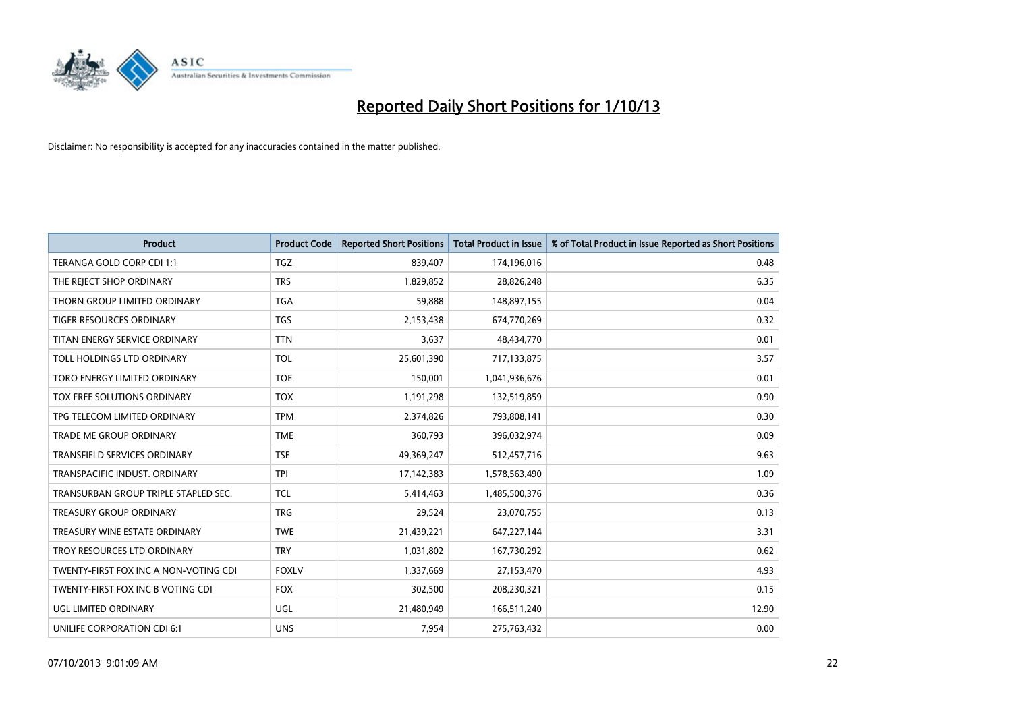

| <b>Product</b>                        | <b>Product Code</b> | <b>Reported Short Positions</b> | <b>Total Product in Issue</b> | % of Total Product in Issue Reported as Short Positions |
|---------------------------------------|---------------------|---------------------------------|-------------------------------|---------------------------------------------------------|
| TERANGA GOLD CORP CDI 1:1             | <b>TGZ</b>          | 839,407                         | 174,196,016                   | 0.48                                                    |
| THE REJECT SHOP ORDINARY              | <b>TRS</b>          | 1,829,852                       | 28,826,248                    | 6.35                                                    |
| THORN GROUP LIMITED ORDINARY          | <b>TGA</b>          | 59,888                          | 148,897,155                   | 0.04                                                    |
| <b>TIGER RESOURCES ORDINARY</b>       | <b>TGS</b>          | 2,153,438                       | 674,770,269                   | 0.32                                                    |
| TITAN ENERGY SERVICE ORDINARY         | <b>TTN</b>          | 3,637                           | 48,434,770                    | 0.01                                                    |
| TOLL HOLDINGS LTD ORDINARY            | <b>TOL</b>          | 25,601,390                      | 717,133,875                   | 3.57                                                    |
| TORO ENERGY LIMITED ORDINARY          | <b>TOE</b>          | 150,001                         | 1,041,936,676                 | 0.01                                                    |
| TOX FREE SOLUTIONS ORDINARY           | <b>TOX</b>          | 1,191,298                       | 132,519,859                   | 0.90                                                    |
| TPG TELECOM LIMITED ORDINARY          | <b>TPM</b>          | 2,374,826                       | 793,808,141                   | 0.30                                                    |
| <b>TRADE ME GROUP ORDINARY</b>        | <b>TME</b>          | 360,793                         | 396,032,974                   | 0.09                                                    |
| TRANSFIELD SERVICES ORDINARY          | <b>TSE</b>          | 49,369,247                      | 512,457,716                   | 9.63                                                    |
| TRANSPACIFIC INDUST. ORDINARY         | <b>TPI</b>          | 17,142,383                      | 1,578,563,490                 | 1.09                                                    |
| TRANSURBAN GROUP TRIPLE STAPLED SEC.  | <b>TCL</b>          | 5,414,463                       | 1,485,500,376                 | 0.36                                                    |
| <b>TREASURY GROUP ORDINARY</b>        | <b>TRG</b>          | 29,524                          | 23,070,755                    | 0.13                                                    |
| TREASURY WINE ESTATE ORDINARY         | <b>TWE</b>          | 21,439,221                      | 647,227,144                   | 3.31                                                    |
| TROY RESOURCES LTD ORDINARY           | <b>TRY</b>          | 1,031,802                       | 167,730,292                   | 0.62                                                    |
| TWENTY-FIRST FOX INC A NON-VOTING CDI | <b>FOXLV</b>        | 1,337,669                       | 27,153,470                    | 4.93                                                    |
| TWENTY-FIRST FOX INC B VOTING CDI     | <b>FOX</b>          | 302,500                         | 208,230,321                   | 0.15                                                    |
| UGL LIMITED ORDINARY                  | UGL                 | 21,480,949                      | 166,511,240                   | 12.90                                                   |
| UNILIFE CORPORATION CDI 6:1           | <b>UNS</b>          | 7,954                           | 275,763,432                   | 0.00                                                    |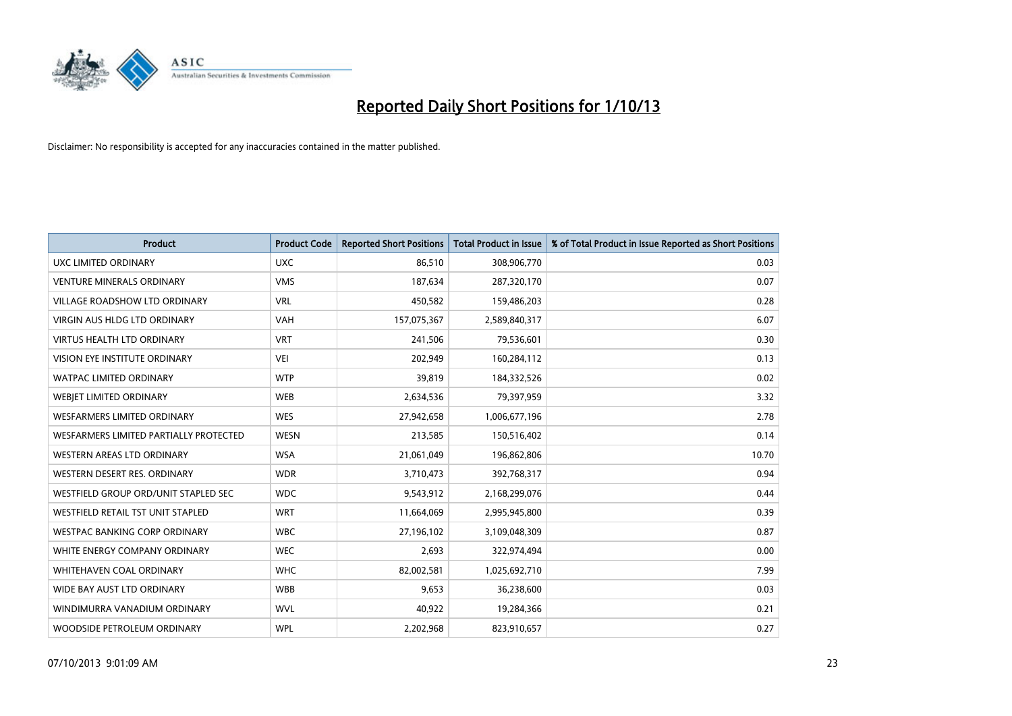

| <b>Product</b>                         | <b>Product Code</b> | <b>Reported Short Positions</b> | <b>Total Product in Issue</b> | % of Total Product in Issue Reported as Short Positions |
|----------------------------------------|---------------------|---------------------------------|-------------------------------|---------------------------------------------------------|
| <b>UXC LIMITED ORDINARY</b>            | <b>UXC</b>          | 86,510                          | 308,906,770                   | 0.03                                                    |
| <b>VENTURE MINERALS ORDINARY</b>       | <b>VMS</b>          | 187,634                         | 287,320,170                   | 0.07                                                    |
| <b>VILLAGE ROADSHOW LTD ORDINARY</b>   | <b>VRL</b>          | 450,582                         | 159,486,203                   | 0.28                                                    |
| VIRGIN AUS HLDG LTD ORDINARY           | <b>VAH</b>          | 157,075,367                     | 2,589,840,317                 | 6.07                                                    |
| <b>VIRTUS HEALTH LTD ORDINARY</b>      | <b>VRT</b>          | 241,506                         | 79,536,601                    | 0.30                                                    |
| <b>VISION EYE INSTITUTE ORDINARY</b>   | <b>VEI</b>          | 202,949                         | 160,284,112                   | 0.13                                                    |
| WATPAC LIMITED ORDINARY                | <b>WTP</b>          | 39,819                          | 184,332,526                   | 0.02                                                    |
| WEBJET LIMITED ORDINARY                | <b>WEB</b>          | 2,634,536                       | 79,397,959                    | 3.32                                                    |
| <b>WESFARMERS LIMITED ORDINARY</b>     | <b>WES</b>          | 27,942,658                      | 1,006,677,196                 | 2.78                                                    |
| WESFARMERS LIMITED PARTIALLY PROTECTED | <b>WESN</b>         | 213,585                         | 150,516,402                   | 0.14                                                    |
| WESTERN AREAS LTD ORDINARY             | <b>WSA</b>          | 21,061,049                      | 196,862,806                   | 10.70                                                   |
| WESTERN DESERT RES. ORDINARY           | <b>WDR</b>          | 3,710,473                       | 392,768,317                   | 0.94                                                    |
| WESTFIELD GROUP ORD/UNIT STAPLED SEC   | <b>WDC</b>          | 9,543,912                       | 2,168,299,076                 | 0.44                                                    |
| WESTFIELD RETAIL TST UNIT STAPLED      | <b>WRT</b>          | 11,664,069                      | 2,995,945,800                 | 0.39                                                    |
| <b>WESTPAC BANKING CORP ORDINARY</b>   | <b>WBC</b>          | 27,196,102                      | 3,109,048,309                 | 0.87                                                    |
| WHITE ENERGY COMPANY ORDINARY          | <b>WEC</b>          | 2,693                           | 322,974,494                   | 0.00                                                    |
| <b>WHITEHAVEN COAL ORDINARY</b>        | <b>WHC</b>          | 82,002,581                      | 1,025,692,710                 | 7.99                                                    |
| WIDE BAY AUST LTD ORDINARY             | <b>WBB</b>          | 9,653                           | 36,238,600                    | 0.03                                                    |
| WINDIMURRA VANADIUM ORDINARY           | <b>WVL</b>          | 40,922                          | 19,284,366                    | 0.21                                                    |
| WOODSIDE PETROLEUM ORDINARY            | <b>WPL</b>          | 2,202,968                       | 823,910,657                   | 0.27                                                    |